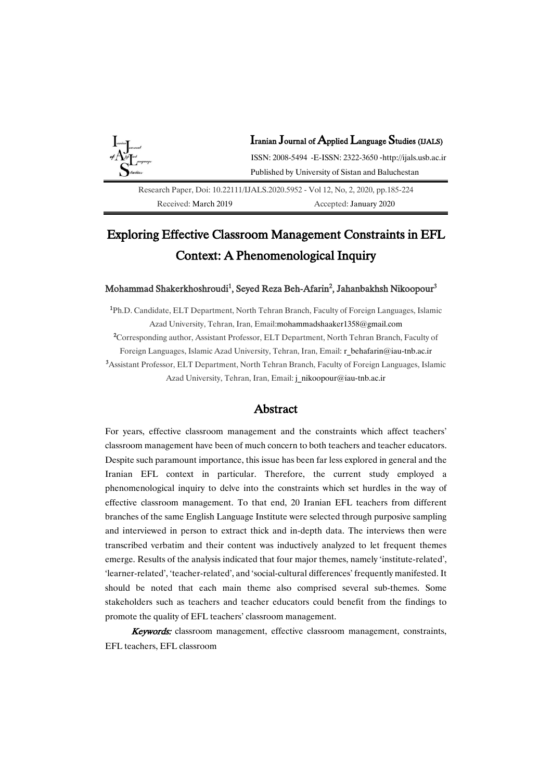

# Exploring Effective Classroom Management Constraints in EFL Context: A Phenomenological Inquiry

## Mohammad Shakerkhoshroudi $^1$ , Seyed Reza Beh-Afarin $^2$ , Jahanbakhsh Nikoopour $^3$

<sup>1</sup>Ph.D. Candidate, ELT Department, North Tehran Branch, Faculty of Foreign Languages, Islamic Azad University, Tehran, Iran, Email[:mohammadshaaker1358@gmail.com](mailto:mohammadshaaker1358@gmail.com) <sup>2</sup>Corresponding author, Assistant Professor, ELT Department, North Tehran Branch, Faculty of Foreign Languages, Islamic Azad University, Tehran, Iran, Email: [r\\_behafarin@iau-tnb.ac.ir](mailto:r_behafarin@iau-tnb.ac.ir) <sup>3</sup>Assistant Professor, ELT Department, North Tehran Branch, Faculty of Foreign Languages, Islamic Azad University, Tehran, Iran, Email: [j\\_nikoopour@iau-tnb.ac.ir](mailto:j_nikoopour@iau-tnb.ac.ir)

## Abstract

For years, effective classroom management and the constraints which affect teachers' classroom management have been of much concern to both teachers and teacher educators. Despite such paramount importance, this issue has been far less explored in general and the Iranian EFL context in particular. Therefore, the current study employed a phenomenological inquiry to delve into the constraints which set hurdles in the way of effective classroom management. To that end, 20 Iranian EFL teachers from different branches of the same English Language Institute were selected through purposive sampling and interviewed in person to extract thick and in-depth data. The interviews then were transcribed verbatim and their content was inductively analyzed to let frequent themes emerge. Results of the analysis indicated that four major themes, namely 'institute-related', 'learner-related', 'teacher-related', and 'social-cultural differences' frequently manifested. It should be noted that each main theme also comprised several sub-themes. Some stakeholders such as teachers and teacher educators could benefit from the findings to promote the quality of EFL teachers' classroom management.

Keywords: classroom management, effective classroom management, constraints, EFL teachers, EFL classroom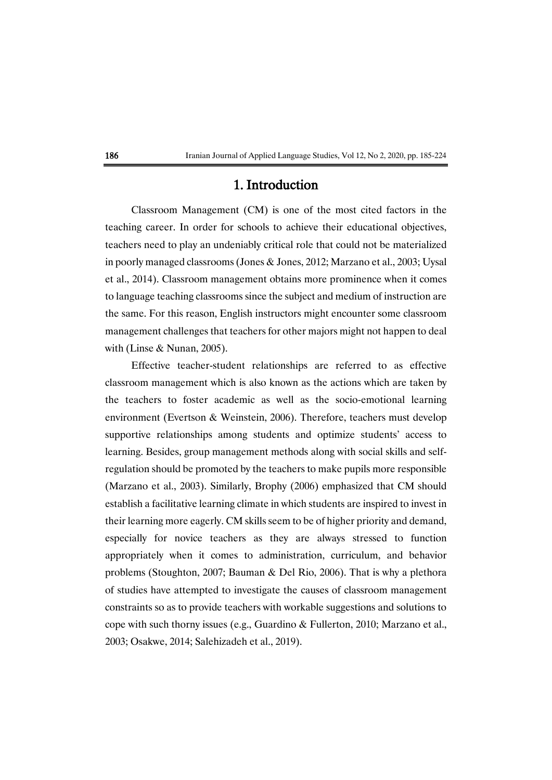# 1. Introduction

Classroom Management (CM) is one of the most cited factors in the teaching career. In order for schools to achieve their educational objectives, teachers need to play an undeniably critical role that could not be materialized in poorly managed classrooms (Jones & Jones, 2012; Marzano et al., 2003; Uysal et al., 2014). Classroom management obtains more prominence when it comes to language teaching classrooms since the subject and medium of instruction are the same. For this reason, English instructors might encounter some classroom management challenges that teachers for other majors might not happen to deal with (Linse & Nunan, 2005).

Effective teacher-student relationships are referred to as effective classroom management which is also known as the actions which are taken by the teachers to foster academic as well as the socio-emotional learning environment (Evertson & Weinstein, 2006). Therefore, teachers must develop supportive relationships among students and optimize students' access to learning. Besides, group management methods along with social skills and selfregulation should be promoted by the teachers to make pupils more responsible (Marzano et al., 2003). Similarly, Brophy (2006) emphasized that CM should establish a facilitative learning climate in which students are inspired to invest in their learning more eagerly. CM skills seem to be of higher priority and demand, especially for novice teachers as they are always stressed to function appropriately when it comes to administration, curriculum, and behavior problems (Stoughton, 2007; Bauman & Del Rio, 2006). That is why a plethora of studies have attempted to investigate the causes of classroom management constraints so as to provide teachers with workable suggestions and solutions to cope with such thorny issues (e.g., Guardino & Fullerton, 2010; Marzano et al., 2003; Osakwe, 2014; Salehizadeh et al., 2019).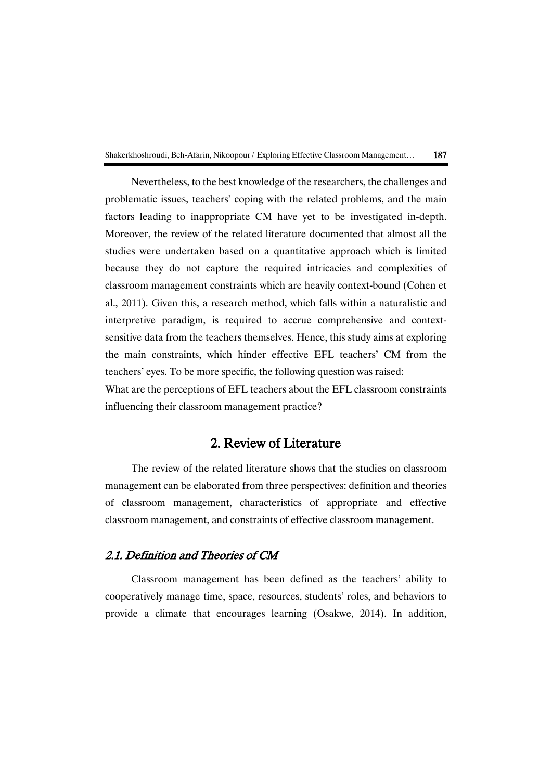Nevertheless, to the best knowledge of the researchers, the challenges and problematic issues, teachers' coping with the related problems, and the main factors leading to inappropriate CM have yet to be investigated in-depth. Moreover, the review of the related literature documented that almost all the studies were undertaken based on a quantitative approach which is limited because they do not capture the required intricacies and complexities of classroom management constraints which are heavily context-bound (Cohen et al., 2011). Given this, a research method, which falls within a naturalistic and interpretive paradigm, is required to accrue comprehensive and contextsensitive data from the teachers themselves. Hence, this study aims at exploring the main constraints, which hinder effective EFL teachers' CM from the teachers' eyes. To be more specific, the following question was raised:

What are the perceptions of EFL teachers about the EFL classroom constraints influencing their classroom management practice?

# 2. Review of Literature

The review of the related literature shows that the studies on classroom management can be elaborated from three perspectives: definition and theories of classroom management, characteristics of appropriate and effective classroom management, and constraints of effective classroom management.

# 2.1. Definition and Theories of CM

Classroom management has been defined as the teachers' ability to cooperatively manage time, space, resources, students' roles, and behaviors to provide a climate that encourages learning (Osakwe, 2014). In addition,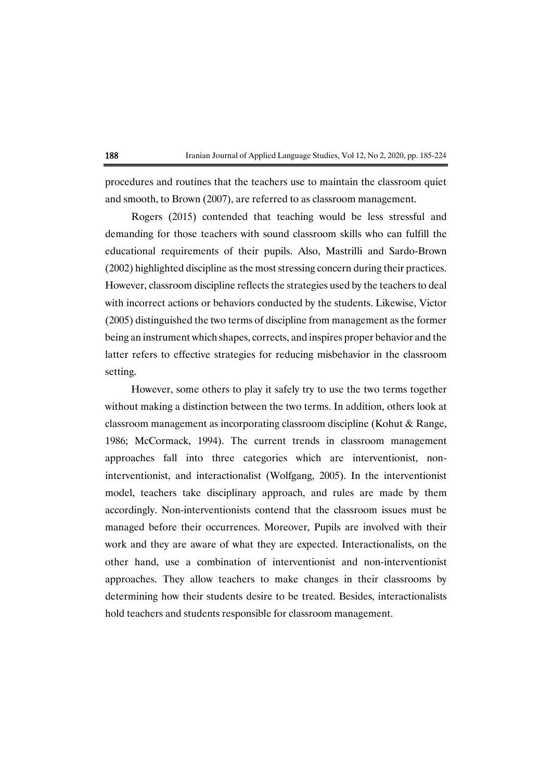procedures and routines that the teachers use to maintain the classroom quiet and smooth, to Brown (2007), are referred to as classroom management.

Rogers (2015) contended that teaching would be less stressful and demanding for those teachers with sound classroom skills who can fulfill the educational requirements of their pupils. Also, Mastrilli and Sardo-Brown (2002) highlighted discipline as the most stressing concern during their practices. However, classroom discipline reflects the strategies used by the teachers to deal with incorrect actions or behaviors conducted by the students. Likewise, Victor (2005) distinguished the two terms of discipline from management as the former being an instrument which shapes, corrects, and inspires proper behavior and the latter refers to effective strategies for reducing misbehavior in the classroom setting.

However, some others to play it safely try to use the two terms together without making a distinction between the two terms. In addition, others look at classroom management as incorporating classroom discipline (Kohut & Range, 1986; McCormack, 1994). The current trends in classroom management approaches fall into three categories which are interventionist, noninterventionist, and interactionalist (Wolfgang, 2005). In the interventionist model, teachers take disciplinary approach, and rules are made by them accordingly. Non-interventionists contend that the classroom issues must be managed before their occurrences. Moreover, Pupils are involved with their work and they are aware of what they are expected. Interactionalists, on the other hand, use a combination of interventionist and non-interventionist approaches. They allow teachers to make changes in their classrooms by determining how their students desire to be treated. Besides, interactionalists hold teachers and students responsible for classroom management.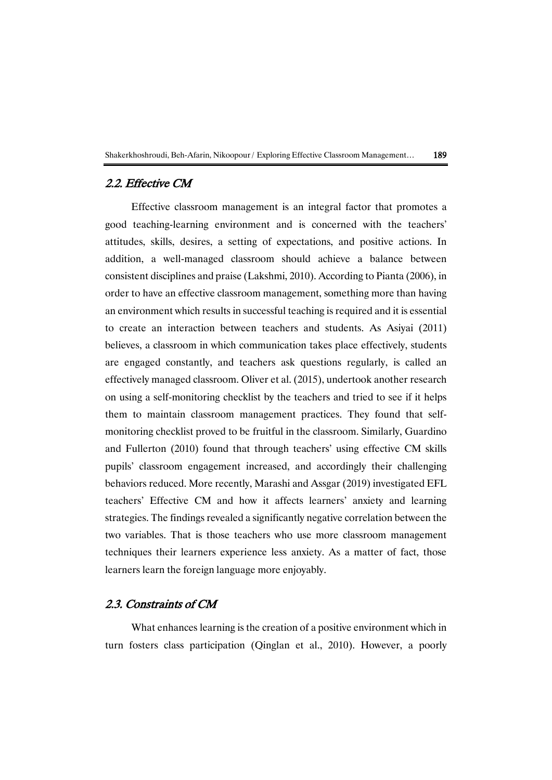

# 2.2. Effective CM

Effective classroom management is an integral factor that promotes a good teaching-learning environment and is concerned with the teachers' attitudes, skills, desires, a setting of expectations, and positive actions. In addition, a well-managed classroom should achieve a balance between consistent disciplines and praise (Lakshmi, 2010). According to Pianta (2006), in order to have an effective classroom management, something more than having an environment which results in successful teaching is required and it is essential to create an interaction between teachers and students. As Asiyai (2011) believes, a classroom in which communication takes place effectively, students are engaged constantly, and teachers ask questions regularly, is called an effectively managed classroom. Oliver et al. (2015), undertook another research on using a self-monitoring checklist by the teachers and tried to see if it helps them to maintain classroom management practices. They found that selfmonitoring checklist proved to be fruitful in the classroom. Similarly, Guardino and Fullerton (2010) found that through teachers' using effective CM skills pupils' classroom engagement increased, and accordingly their challenging behaviors reduced. More recently, Marashi and Assgar (2019) investigated EFL teachers' Effective CM and how it affects learners' anxiety and learning strategies. The findings revealed a significantly negative correlation between the two variables. That is those teachers who use more classroom management techniques their learners experience less anxiety. As a matter of fact, those learners learn the foreign language more enjoyably.

# 2.3. Constraints of CM

What enhances learning is the creation of a positive environment which in turn fosters class participation (Qinglan et al., 2010). However, a poorly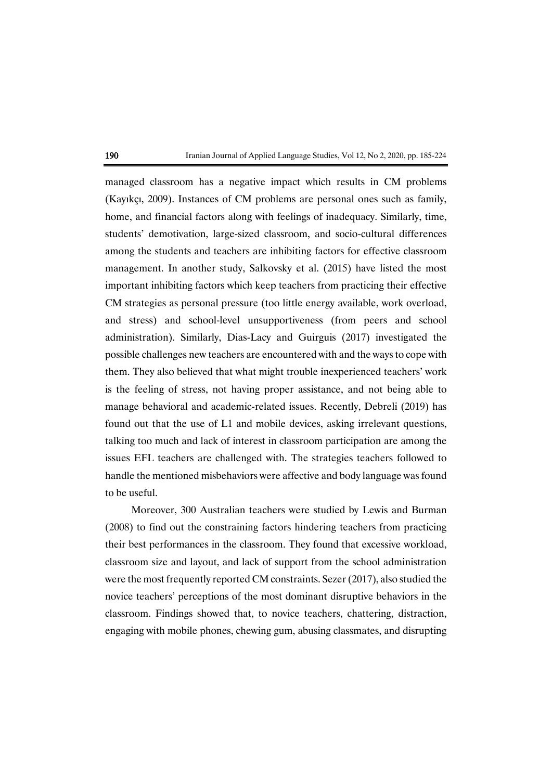managed classroom has a negative impact which results in CM problems (Kayıkçı, 2009). Instances of CM problems are personal ones such as family, home, and financial factors along with feelings of inadequacy. Similarly, time, students' demotivation, large-sized classroom, and socio-cultural differences among the students and teachers are inhibiting factors for effective classroom management. In another study, Salkovsky et al. (2015) have listed the most important inhibiting factors which keep teachers from practicing their effective CM strategies as personal pressure (too little energy available, work overload, and stress) and school-level unsupportiveness (from peers and school administration). Similarly, Dias-Lacy and Guirguis (2017) investigated the possible challenges new teachers are encountered with and the waysto cope with them. They also believed that what might trouble inexperienced teachers' work is the feeling of stress, not having proper assistance, and not being able to manage behavioral and academic-related issues. Recently, Debreli (2019) has found out that the use of L1 and mobile devices, asking irrelevant questions, talking too much and lack of interest in classroom participation are among the issues EFL teachers are challenged with. The strategies teachers followed to handle the mentioned misbehaviors were affective and body language was found to be useful.

Moreover, 300 Australian teachers were studied by Lewis and Burman (2008) to find out the constraining factors hindering teachers from practicing their best performances in the classroom. They found that excessive workload, classroom size and layout, and lack of support from the school administration were the most frequently reported CM constraints. Sezer (2017), also studied the novice teachers' perceptions of the most dominant disruptive behaviors in the classroom. Findings showed that, to novice teachers, chattering, distraction, engaging with mobile phones, chewing gum, abusing classmates, and disrupting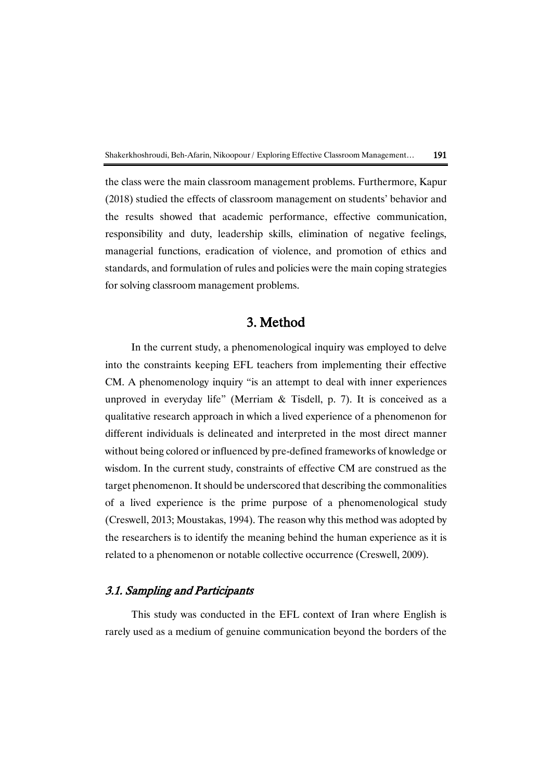the class were the main classroom management problems. Furthermore, Kapur (2018) studied the effects of classroom management on students' behavior and the results showed that academic performance, effective communication, responsibility and duty, leadership skills, elimination of negative feelings, managerial functions, eradication of violence, and promotion of ethics and standards, and formulation of rules and policies were the main coping strategies for solving classroom management problems.

# 3. Method

In the current study, a phenomenological inquiry was employed to delve into the constraints keeping EFL teachers from implementing their effective CM. A phenomenology inquiry "is an attempt to deal with inner experiences unproved in everyday life" (Merriam & Tisdell, p. 7). It is conceived as a qualitative research approach in which a lived experience of a phenomenon for different individuals is delineated and interpreted in the most direct manner without being colored or influenced by pre-defined frameworks of knowledge or wisdom. In the current study, constraints of effective CM are construed as the target phenomenon. It should be underscored that describing the commonalities of a lived experience is the prime purpose of a phenomenological study (Creswell, 2013; Moustakas, 1994). The reason why this method was adopted by the researchers is to identify the meaning behind the human experience as it is related to a phenomenon or notable collective occurrence (Creswell, 2009).

# 3.1. Sampling and Participants

This study was conducted in the EFL context of Iran where English is rarely used as a medium of genuine communication beyond the borders of the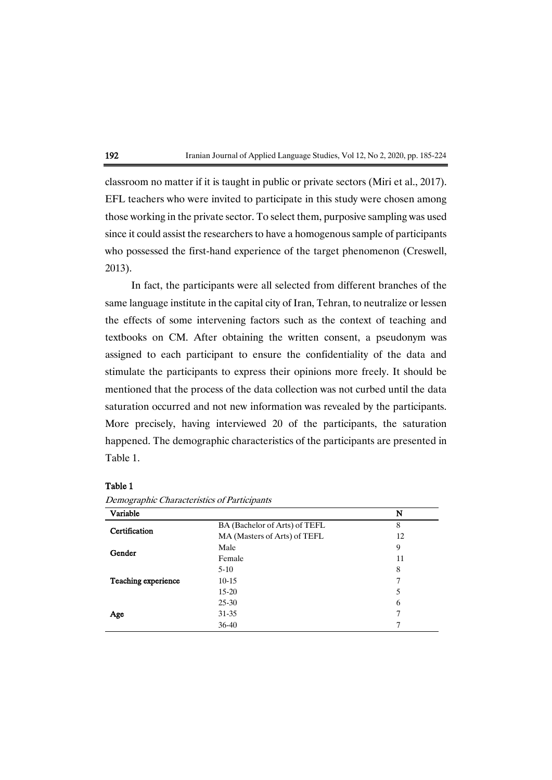

classroom no matter if it is taught in public or private sectors (Miri et al., 2017). EFL teachers who were invited to participate in this study were chosen among those working in the private sector. To select them, purposive sampling was used since it could assist the researchers to have a homogenous sample of participants who possessed the first-hand experience of the target phenomenon (Creswell, 2013).

In fact, the participants were all selected from different branches of the same language institute in the capital city of Iran, Tehran, to neutralize or lessen the effects of some intervening factors such as the context of teaching and textbooks on CM. After obtaining the written consent, a pseudonym was assigned to each participant to ensure the confidentiality of the data and stimulate the participants to express their opinions more freely. It should be mentioned that the process of the data collection was not curbed until the data saturation occurred and not new information was revealed by the participants. More precisely, having interviewed 20 of the participants, the saturation happened. The demographic characteristics of the participants are presented in Table 1.

### Table 1

| Variable            |                               | N  |
|---------------------|-------------------------------|----|
| Certification       | BA (Bachelor of Arts) of TEFL | 8  |
|                     | MA (Masters of Arts) of TEFL  | 12 |
| Gender              | Male                          | 9  |
|                     | Female                        | 11 |
|                     | $5-10$                        | 8  |
| Teaching experience | $10 - 15$                     | 7  |
|                     | $15 - 20$                     | 5  |
|                     | $25 - 30$                     | 6  |
| Age                 | 31-35                         | 7  |
|                     | $36-40$                       |    |

Demographic Characteristics of Participants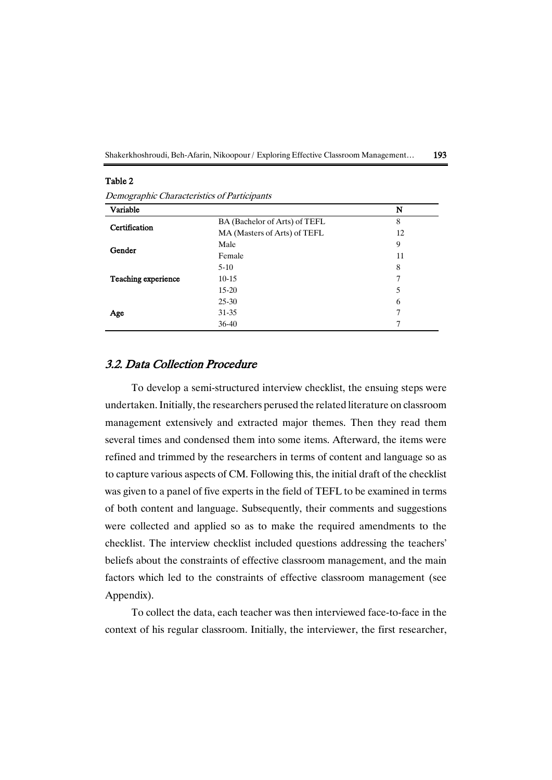Shakerkhoshroudi, Beh-Afarin, Nikoopour / Exploring Effective Classroom Management... 193

### Table 2

Demographic Characteristics of Participants

| Variable            |                               | N  |
|---------------------|-------------------------------|----|
| Certification       | BA (Bachelor of Arts) of TEFL | 8  |
|                     | MA (Masters of Arts) of TEFL  | 12 |
| Gender              | Male                          | 9  |
|                     | Female                        | 11 |
|                     | $5 - 10$                      | 8  |
| Teaching experience | $10 - 15$                     | 7  |
|                     | $15 - 20$                     | 5  |
|                     | $25 - 30$                     | 6  |
| Age                 | $31 - 35$                     | 7  |
|                     | $36-40$                       |    |

# 3.2. Data Collection Procedure

To develop a semi-structured interview checklist, the ensuing steps were undertaken. Initially, the researchers perused the related literature on classroom management extensively and extracted major themes. Then they read them several times and condensed them into some items. Afterward, the items were refined and trimmed by the researchers in terms of content and language so as to capture various aspects of CM. Following this, the initial draft of the checklist was given to a panel of five experts in the field of TEFL to be examined in terms of both content and language. Subsequently, their comments and suggestions were collected and applied so as to make the required amendments to the checklist. The interview checklist included questions addressing the teachers' beliefs about the constraints of effective classroom management, and the main factors which led to the constraints of effective classroom management (see Appendix).

To collect the data, each teacher was then interviewed face-to-face in the context of his regular classroom. Initially, the interviewer, the first researcher,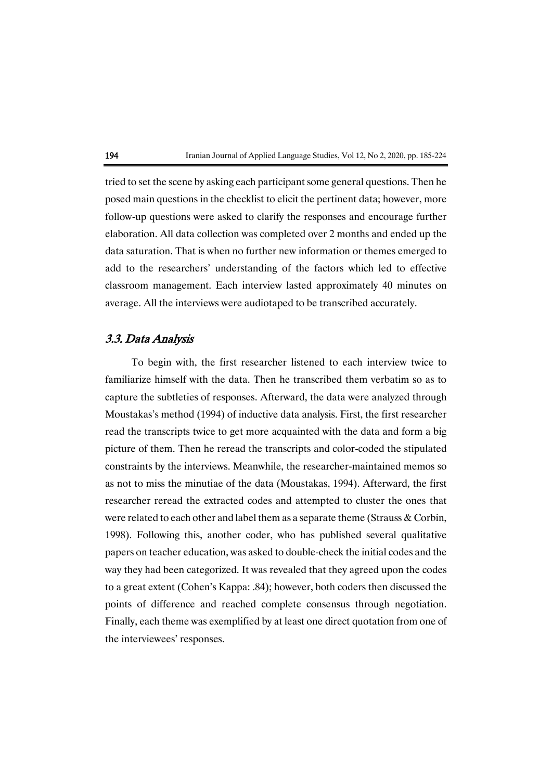

tried to set the scene by asking each participant some general questions. Then he posed main questions in the checklist to elicit the pertinent data; however, more follow-up questions were asked to clarify the responses and encourage further elaboration. All data collection was completed over 2 months and ended up the data saturation. That is when no further new information or themes emerged to add to the researchers' understanding of the factors which led to effective classroom management. Each interview lasted approximately 40 minutes on average. All the interviews were audiotaped to be transcribed accurately.

## 3.3. Data Analysis

To begin with, the first researcher listened to each interview twice to familiarize himself with the data. Then he transcribed them verbatim so as to capture the subtleties of responses. Afterward, the data were analyzed through Moustakas's method (1994) of inductive data analysis. First, the first researcher read the transcripts twice to get more acquainted with the data and form a big picture of them. Then he reread the transcripts and color-coded the stipulated constraints by the interviews. Meanwhile, the researcher-maintained memos so as not to miss the minutiae of the data (Moustakas, 1994). Afterward, the first researcher reread the extracted codes and attempted to cluster the ones that were related to each other and label them as a separate theme (Strauss & Corbin, 1998). Following this, another coder, who has published several qualitative papers on teacher education, was asked to double-check the initial codes and the way they had been categorized. It was revealed that they agreed upon the codes to a great extent (Cohen's Kappa: .84); however, both coders then discussed the points of difference and reached complete consensus through negotiation. Finally, each theme was exemplified by at least one direct quotation from one of the interviewees' responses.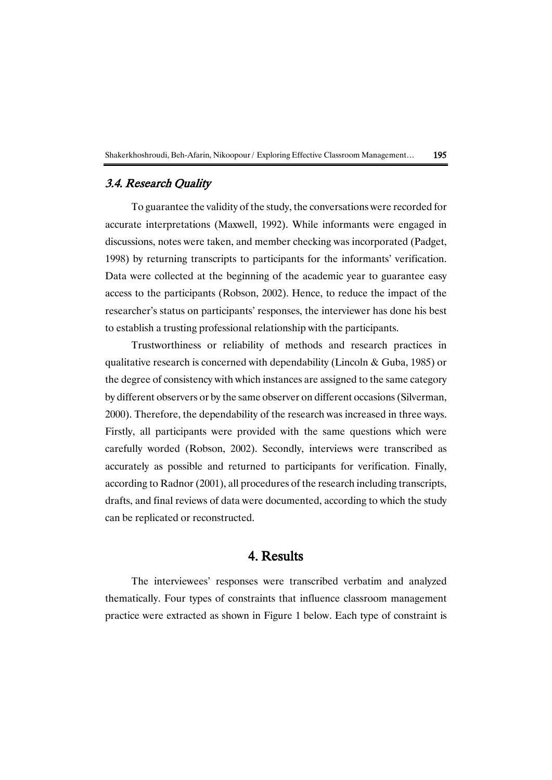

# 3.4. Research Quality

To guarantee the validity of the study, the conversations were recorded for accurate interpretations (Maxwell, 1992). While informants were engaged in discussions, notes were taken, and member checking was incorporated (Padget, 1998) by returning transcripts to participants for the informants' verification. Data were collected at the beginning of the academic year to guarantee easy access to the participants (Robson, 2002). Hence, to reduce the impact of the researcher's status on participants' responses, the interviewer has done his best to establish a trusting professional relationship with the participants.

Trustworthiness or reliability of methods and research practices in qualitative research is concerned with dependability (Lincoln & Guba, 1985) or the degree of consistency with which instances are assigned to the same category by different observers or by the same observer on different occasions(Silverman, 2000). Therefore, the dependability of the research was increased in three ways. Firstly, all participants were provided with the same questions which were carefully worded (Robson, 2002). Secondly, interviews were transcribed as accurately as possible and returned to participants for verification. Finally, according to Radnor (2001), all procedures of the research including transcripts, drafts, and final reviews of data were documented, according to which the study can be replicated or reconstructed.

# 4. Results

The interviewees' responses were transcribed verbatim and analyzed thematically. Four types of constraints that influence classroom management practice were extracted as shown in Figure 1 below. Each type of constraint is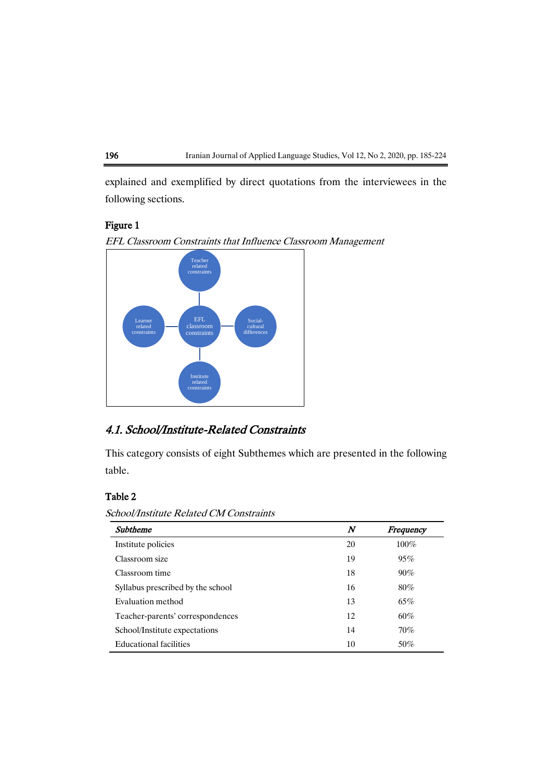

explained and exemplified by direct quotations from the interviewees in the following sections.

### Figure 1





# 4.1. School/Institute-Related Constraints

This category consists of eight Subthemes which are presented in the following table.

# Table 2

School/Institute Related CM Constraints

| Subtheme                          | $\boldsymbol{N}$ | Frequency |
|-----------------------------------|------------------|-----------|
| Institute policies                | 20               | $100\%$   |
| Classroom size                    | 19               | 95%       |
| Classroom time                    | 18               | 90%       |
| Syllabus prescribed by the school | 16               | $80\%$    |
| Evaluation method                 | 13               | 65%       |
| Teacher-parents' correspondences  | 12               | 60%       |
| School/Institute expectations     | 14               | 70%       |
| <b>Educational facilities</b>     | 10               | 50%       |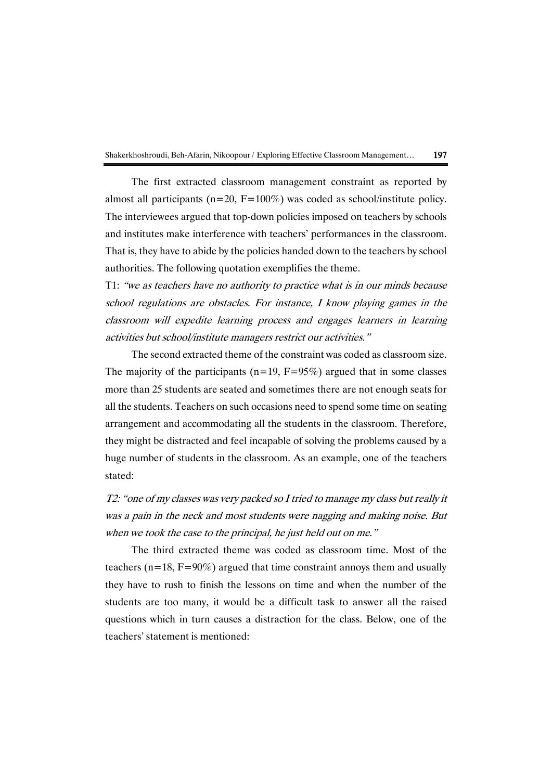

The first extracted classroom management constraint as reported by almost all participants ( $n=20$ ,  $F=100\%$ ) was coded as school/institute policy. The interviewees argued that top-down policies imposed on teachers by schools and institutes make interference with teachers' performances in the classroom. That is, they have to abide by the policies handed down to the teachers by school authorities. The following quotation exemplifies the theme.

T1: "we as teachers have no authority to practice what is in our minds because school regulations are obstacles. For instance, I know playing games in the classroom will expedite learning process and engages learners in learning activities but school/institute managers restrict our activities."

The second extracted theme of the constraint was coded as classroom size. The majority of the participants ( $n=19$ ,  $F=95\%$ ) argued that in some classes more than 25 students are seated and sometimes there are not enough seats for all the students. Teachers on such occasions need to spend some time on seating arrangement and accommodating all the students in the classroom. Therefore, they might be distracted and feel incapable of solving the problems caused by a huge number of students in the classroom. As an example, one of the teachers stated:

T2: "one of my classes was very packed so I tried to manage my class but really it was a pain in the neck and most students were nagging and making noise. But when we took the case to the principal, he just held out on me."

The third extracted theme was coded as classroom time. Most of the teachers ( $n=18$ ,  $F=90\%$ ) argued that time constraint annoys them and usually they have to rush to finish the lessons on time and when the number of the students are too many, it would be a difficult task to answer all the raised questions which in turn causes a distraction for the class. Below, one of the teachers' statement is mentioned: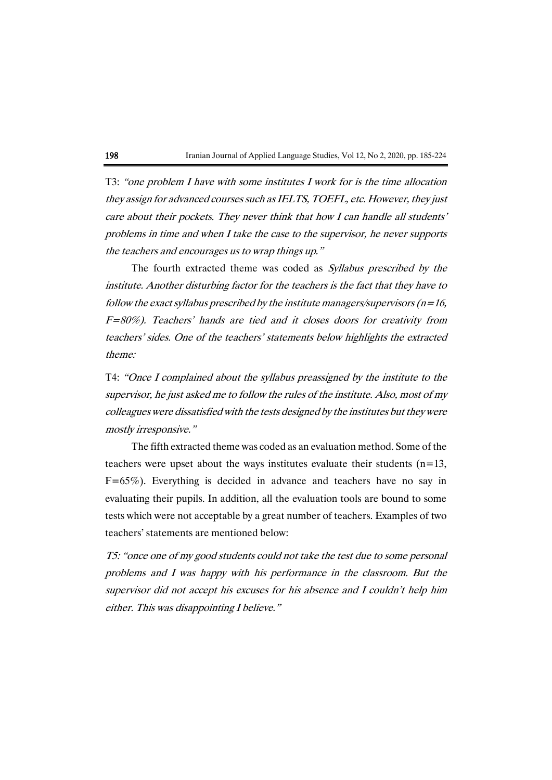T3: "one problem I have with some institutes I work for is the time allocation they assign for advanced courses such as IELTS, TOEFL, etc. However, they just care about their pockets. They never think that how I can handle all students' problems in time and when I take the case to the supervisor, he never supports the teachers and encourages us to wrap things up."

The fourth extracted theme was coded as Syllabus prescribed by the institute. Another disturbing factor for the teachers is the fact that they have to follow the exact syllabus prescribed by the institute managers/supervisors ( $n=16$ , F=80%). Teachers' hands are tied and it closes doors for creativity from teachers' sides. One of the teachers' statements below highlights the extracted theme:

T4: "Once <sup>I</sup> complained about the syllabus preassigned by the institute to the supervisor, he just asked me to follow the rules of the institute. Also, most of my colleagueswere dissatisfied with the tests designed by the institutes but theywere mostly irresponsive."

The fifth extracted theme was coded as an evaluation method. Some of the teachers were upset about the ways institutes evaluate their students  $(n=13,$ F=65%). Everything is decided in advance and teachers have no say in evaluating their pupils. In addition, all the evaluation tools are bound to some tests which were not acceptable by a great number of teachers. Examples of two teachers' statements are mentioned below:

T5: "once one of my good students could not take the test due to some personal problems and I was happy with his performance in the classroom. But the supervisor did not accept his excuses for his absence and I couldn't help him either. This was disappointing I believe."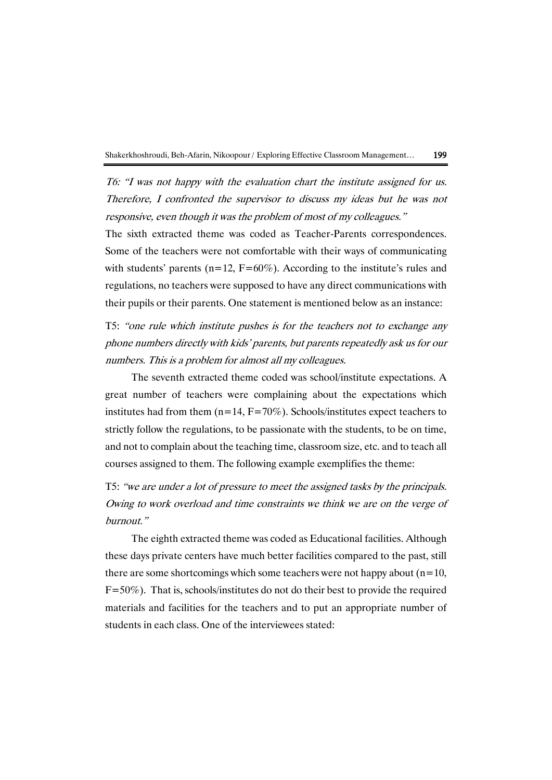

T6: "I was not happy with the evaluation chart the institute assigned for us. Therefore, I confronted the supervisor to discuss my ideas but he was not responsive, even though it was the problem of most of my colleagues."

The sixth extracted theme was coded as Teacher-Parents correspondences. Some of the teachers were not comfortable with their ways of communicating with students' parents ( $n=12$ ,  $F=60\%$ ). According to the institute's rules and regulations, no teachers were supposed to have any direct communications with their pupils or their parents. One statement is mentioned below as an instance:

T5: "one rule which institute pushes is for the teachers not to exchange any phone numbers directly with kids' parents, but parents repeatedly ask us for our numbers. This is <sup>a</sup> problem for almost all my colleagues.

The seventh extracted theme coded was school/institute expectations. A great number of teachers were complaining about the expectations which institutes had from them  $(n=14, F=70\%)$ . Schools/institutes expect teachers to strictly follow the regulations, to be passionate with the students, to be on time, and not to complain about the teaching time, classroom size, etc. and to teach all courses assigned to them. The following example exemplifies the theme:

T5: "we are under a lot of pressure to meet the assigned tasks by the principals. Owing to work overload and time constraints we think we are on the verge of burnout."

The eighth extracted theme was coded as Educational facilities. Although these days private centers have much better facilities compared to the past, still there are some shortcomings which some teachers were not happy about  $(n=10,$ F=50%). That is, schools/institutes do not do their best to provide the required materials and facilities for the teachers and to put an appropriate number of students in each class. One of the interviewees stated: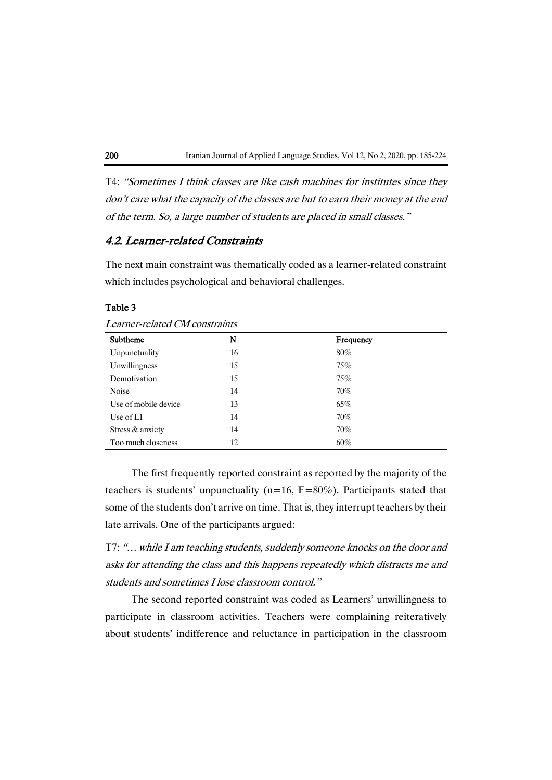T4: "Sometimes I think classes are like cash machines for institutes since they don't care what the capacity of the classes are but to earn their money at the end of the term. So, a large number of students are placed in small classes."

# 4.2. Learner-related Constraints

The next main constraint was thematically coded as a learner-related constraint which includes psychological and behavioral challenges.

### Table 3

| Learner-related CM constraints |  |
|--------------------------------|--|
|                                |  |

| Subtheme             | N  | Frequency |
|----------------------|----|-----------|
| Unpunctuality        | 16 | $80\%$    |
| Unwillingness        | 15 | $75\%$    |
| Demotivation         | 15 | 75%       |
| <b>Noise</b>         | 14 | $70\%$    |
| Use of mobile device | 13 | 65%       |
| Use of $L1$          | 14 | $70\%$    |
| Stress & anxiety     | 14 | $70\%$    |
| Too much closeness   | 12 | 60%       |

The first frequently reported constraint as reported by the majority of the teachers is students' unpunctuality ( $n=16$ ,  $F=80\%$ ). Participants stated that some of the students don't arrive on time. That is, they interrupt teachers by their late arrivals. One of the participants argued:

T7: "… while <sup>I</sup> am teaching students, suddenly someone knocks on the door and asks for attending the class and this happens repeatedly which distracts me and students and sometimes I lose classroom control."

The second reported constraint was coded as Learners' unwillingness to participate in classroom activities. Teachers were complaining reiteratively about students' indifference and reluctance in participation in the classroom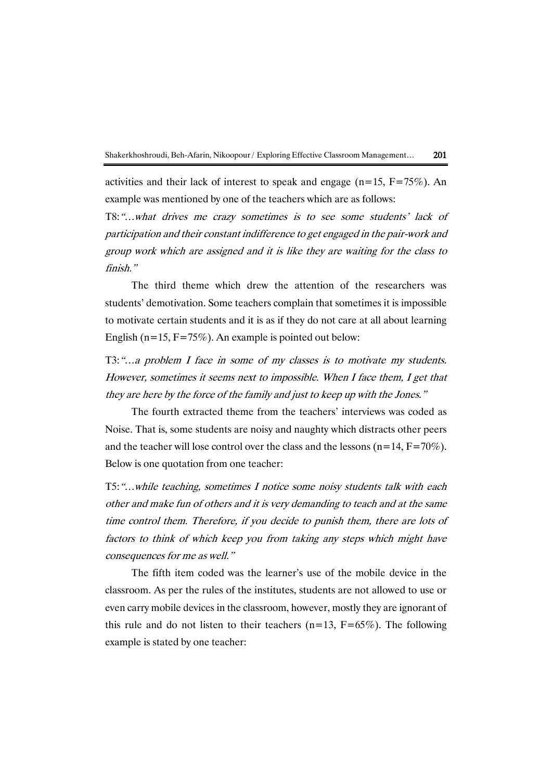

activities and their lack of interest to speak and engage ( $n=15$ ,  $F=75\%$ ). An example was mentioned by one of the teachers which are as follows:

T8:"…what drives me crazy sometimes is to see some students' lack of participation and their constant indifference to get engaged in the pair-work and group work which are assigned and it is like they are waiting for the class to finish."

The third theme which drew the attention of the researchers was students' demotivation. Some teachers complain that sometimes it is impossible to motivate certain students and it is as if they do not care at all about learning English ( $n=15$ ,  $F=75\%$ ). An example is pointed out below:

T3:"…a problem I face in some of my classes is to motivate my students. However, sometimes it seems next to impossible. When I face them, I get that they are here by the force of the family and just to keep up with the Jones."

The fourth extracted theme from the teachers' interviews was coded as Noise. That is, some students are noisy and naughty which distracts other peers and the teacher will lose control over the class and the lessons  $(n=14, F=70\%)$ . Below is one quotation from one teacher:

T5:"…while teaching, sometimes I notice some noisy students talk with each other and make fun of others and it is very demanding to teach and at the same time control them. Therefore, if you decide to punish them, there are lots of factors to think of which keep you from taking any steps which might have consequences for me as well."

The fifth item coded was the learner's use of the mobile device in the classroom. As per the rules of the institutes, students are not allowed to use or even carry mobile devices in the classroom, however, mostly they are ignorant of this rule and do not listen to their teachers  $(n=13, F=65\%)$ . The following example is stated by one teacher: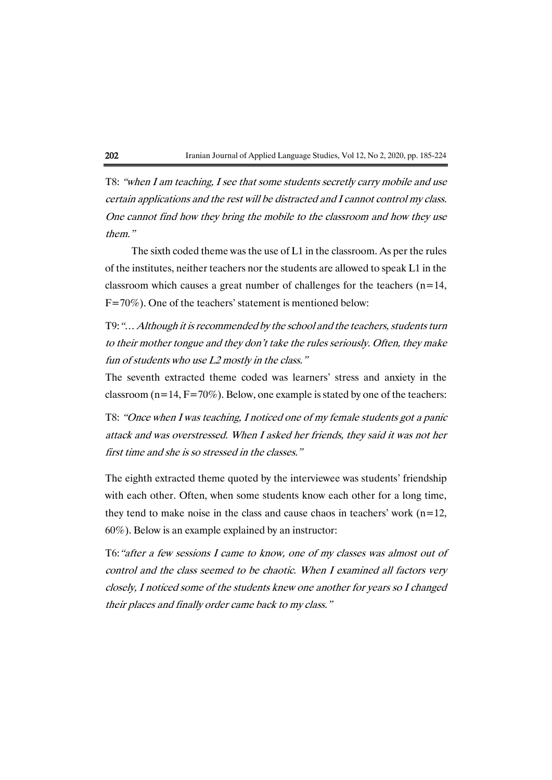

T8: "when I am teaching, I see that some students secretly carry mobile and use certain applications and the rest will be distracted and I cannot control my class. One cannot find how they bring the mobile to the classroom and how they use them."

The sixth coded theme was the use of L1 in the classroom. As per the rules of the institutes, neither teachers nor the students are allowed to speak L1 in the classroom which causes a great number of challenges for the teachers  $(n=14,$ F=70%). One of the teachers' statement is mentioned below:

T9:"… Although it is recommended by the school and the teachers, students turn to their mother tongue and they don't take the rules seriously. Often, they make fun of students who use L2 mostly in the class."

The seventh extracted theme coded was learners' stress and anxiety in the classroom ( $n=14$ ,  $F=70\%$ ). Below, one example is stated by one of the teachers:

T8: "Once when I was teaching, I noticed one of my female students got a panic attack and was overstressed. When I asked her friends, they said it was not her first time and she is so stressed in the classes."

The eighth extracted theme quoted by the interviewee was students' friendship with each other. Often, when some students know each other for a long time, they tend to make noise in the class and cause chaos in teachers' work  $(n=12,$ 60%). Below is an example explained by an instructor:

T6:"after a few sessions I came to know, one of my classes was almost out of control and the class seemed to be chaotic. When I examined all factors very closely, I noticed some of the students knew one another for years so I changed their places and finally order came back to my class."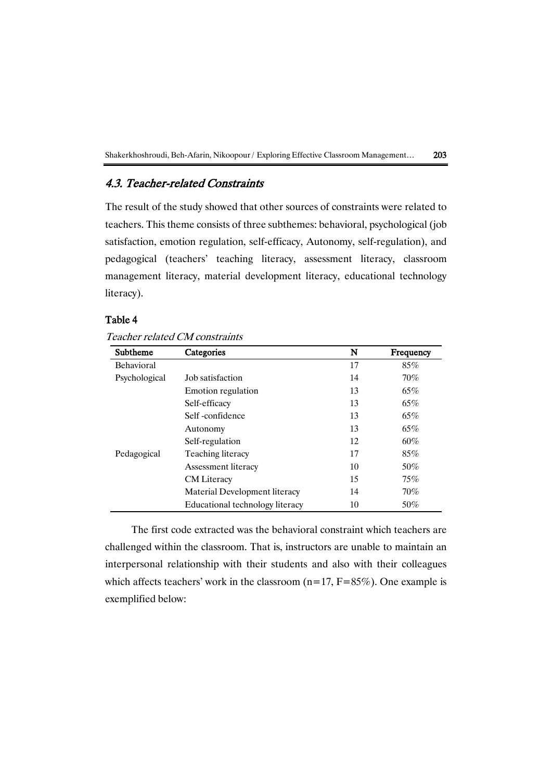# 4.3. Teacher-related Constraints

The result of the study showed that other sources of constraints were related to teachers. This theme consists of three subthemes: behavioral, psychological (job satisfaction, emotion regulation, self-efficacy, Autonomy, self-regulation), and pedagogical (teachers' teaching literacy, assessment literacy, classroom management literacy, material development literacy, educational technology literacy).

# Table 4

|  | Teacher related CM constraints |
|--|--------------------------------|
|  |                                |

| Subtheme      | Categories                      | N  | Frequency |
|---------------|---------------------------------|----|-----------|
| Behavioral    |                                 | 17 | 85%       |
| Psychological | Job satisfaction                | 14 | $70\%$    |
|               | Emotion regulation              | 13 | 65%       |
|               | Self-efficacy                   | 13 | 65%       |
|               | Self-confidence                 | 13 | 65%       |
|               | Autonomy                        | 13 | 65%       |
|               | Self-regulation                 | 12 | $60\%$    |
| Pedagogical   | Teaching literacy               | 17 | 85%       |
|               | Assessment literacy             | 10 | 50%       |
|               | <b>CM</b> Literacy              | 15 | 75%       |
|               | Material Development literacy   | 14 | $70\%$    |
|               | Educational technology literacy | 10 | 50%       |

The first code extracted was the behavioral constraint which teachers are challenged within the classroom. That is, instructors are unable to maintain an interpersonal relationship with their students and also with their colleagues which affects teachers' work in the classroom  $(n=17, F=85\%)$ . One example is exemplified below: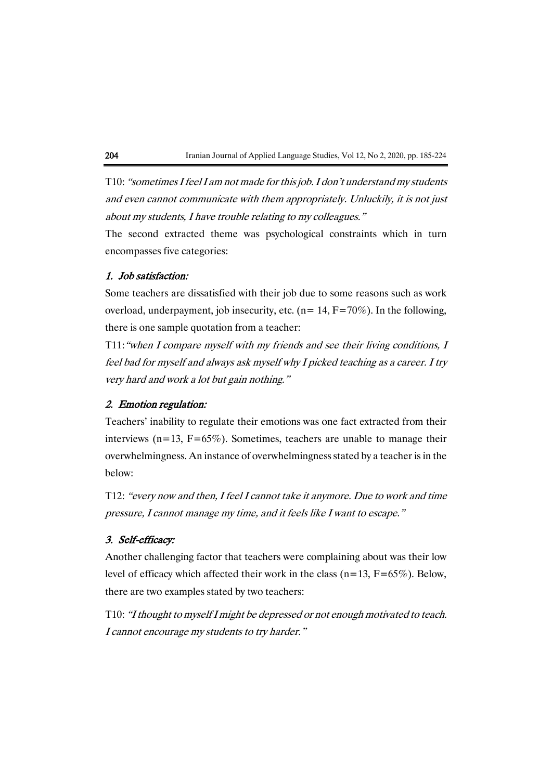T10: "sometimes I feel I am not made for this job. I don't understand my students and even cannot communicate with them appropriately. Unluckily, it is not just about my students, I have trouble relating to my colleagues."

The second extracted theme was psychological constraints which in turn encompasses five categories:

### 1. Job satisfaction:

Some teachers are dissatisfied with their job due to some reasons such as work overload, underpayment, job insecurity, etc. ( $n= 14$ ,  $F=70\%$ ). In the following, there is one sample quotation from a teacher:

T11:"when I compare myself with my friends and see their living conditions, I feel bad for myself and always ask myself why I picked teaching as a career. I try very hard and work a lot but gain nothing."

## 2. Emotion regulation:

Teachers' inability to regulate their emotions was one fact extracted from their interviews ( $n=13$ ,  $F=65\%$ ). Sometimes, teachers are unable to manage their overwhelmingness. An instance of overwhelmingness stated by a teacher is in the below:

T12: "every now and then, I feel I cannot take it anymore. Due to work and time pressure, I cannot manage my time, and it feels like I want to escape."

### 3. Self-efficacy:

Another challenging factor that teachers were complaining about was their low level of efficacy which affected their work in the class  $(n=13, F=65\%)$ . Below, there are two examples stated by two teachers:

T10: "I thought to myself I might be depressed or not enough motivated to teach. I cannot encourage my students to try harder."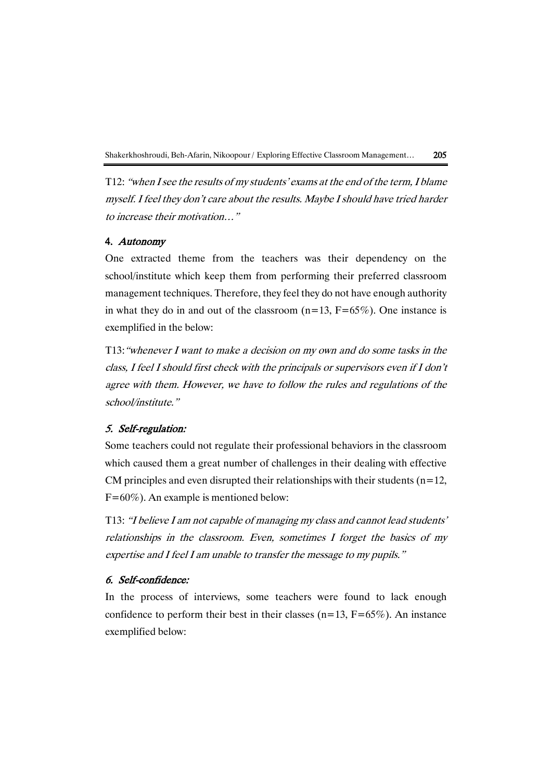T12: "when I see the results of my students' exams at the end of the term, I blame myself. I feel they don't care about the results. Maybe I should have tried harder to increase their motivation…"

## 4. Autonomy

One extracted theme from the teachers was their dependency on the school/institute which keep them from performing their preferred classroom management techniques. Therefore, they feel they do not have enough authority in what they do in and out of the classroom  $(n=13, F=65\%)$ . One instance is exemplified in the below:

T13:"whenever I want to make a decision on my own and do some tasks in the class, I feel I should first check with the principals or supervisors even if I don'<sup>t</sup> agree with them. However, we have to follow the rules and regulations of the school/institute."

## 5. Self-regulation:

Some teachers could not regulate their professional behaviors in the classroom which caused them a great number of challenges in their dealing with effective CM principles and even disrupted their relationships with their students ( $n=12$ , F=60%). An example is mentioned below:

T13: "I believe I am not capable of managing my class and cannot lead students' relationships in the classroom. Even, sometimes I forget the basics of my expertise and I feel I am unable to transfer the message to my pupils."

## 6. Self-confidence:

In the process of interviews, some teachers were found to lack enough confidence to perform their best in their classes  $(n=13, F=65\%)$ . An instance exemplified below: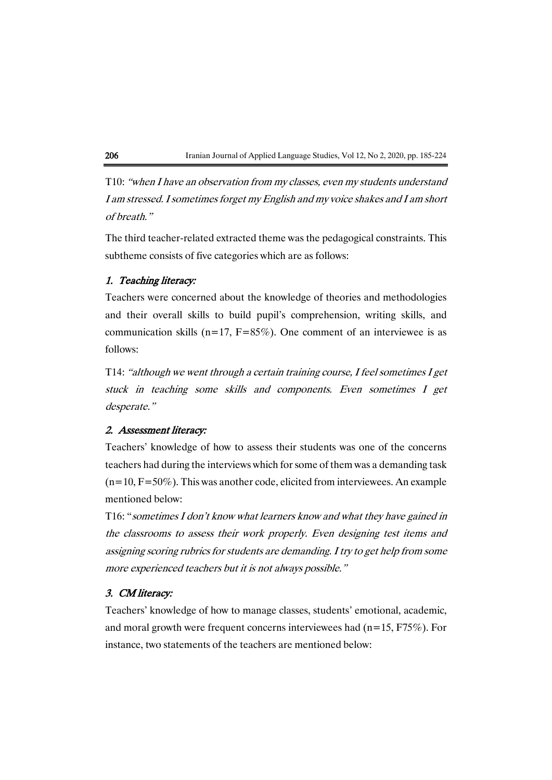T10: "when I have an observation from my classes, even my students understand I am stressed. I sometimes forget my English and my voice shakes and I am short of breath."

The third teacher-related extracted theme was the pedagogical constraints. This subtheme consists of five categories which are as follows:

# 1. Teaching literacy:

Teachers were concerned about the knowledge of theories and methodologies and their overall skills to build pupil's comprehension, writing skills, and communication skills ( $n=17$ ,  $F=85\%$ ). One comment of an interviewee is as follows:

T14: "although we went through a certain training course, I feel sometimes I get stuck in teaching some skills and components. Even sometimes I get desperate."

# 2. Assessment literacy:

Teachers' knowledge of how to assess their students was one of the concerns teachers had during the interviews which for some of them was a demanding task  $(n=10, F=50\%)$ . This was another code, elicited from interviewees. An example mentioned below:

T16: "sometimes I don't know what learners know and what they have gained in the classrooms to assess their work properly. Even designing test items and assigning scoring rubrics for students are demanding. I try to get help from some more experienced teachers but it is not always possible."

## 3. CM literacy:

Teachers' knowledge of how to manage classes, students' emotional, academic, and moral growth were frequent concerns interviewees had ( $n=15$ , F75%). For instance, two statements of the teachers are mentioned below: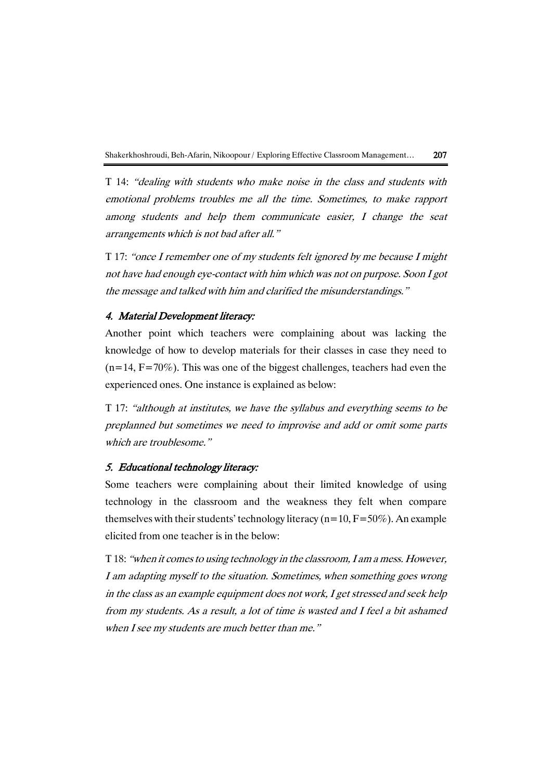T 14: "dealing with students who make noise in the class and students with emotional problems troubles me all the time. Sometimes, to make rapport among students and help them communicate easier, I change the seat arrangements which is not bad after all."

T 17: "once I remember one of my students felt ignored by me because I might not have had enough eye-contact with him which was not on purpose. Soon I got the message and talked with him and clarified the misunderstandings."

## 4. Material Development literacy:

Another point which teachers were complaining about was lacking the knowledge of how to develop materials for their classes in case they need to  $(n=14, F=70\%)$ . This was one of the biggest challenges, teachers had even the experienced ones. One instance is explained as below:

T 17: "although at institutes, we have the syllabus and everything seems to be preplanned but sometimes we need to improvise and add or omit some parts which are troublesome."

### 5. Educational technology literacy:

Some teachers were complaining about their limited knowledge of using technology in the classroom and the weakness they felt when compare themselves with their students' technology literacy ( $n=10$ ,  $F=50\%$ ). An example elicited from one teacher is in the below:

T 18: "when it comes to using technology in the classroom, I am a mess. However, I am adapting myself to the situation. Sometimes, when something goes wrong in the class as an example equipment does not work, I get stressed and seek help from my students. As a result, a lot of time is wasted and I feel a bit ashamed when I see my students are much better than me."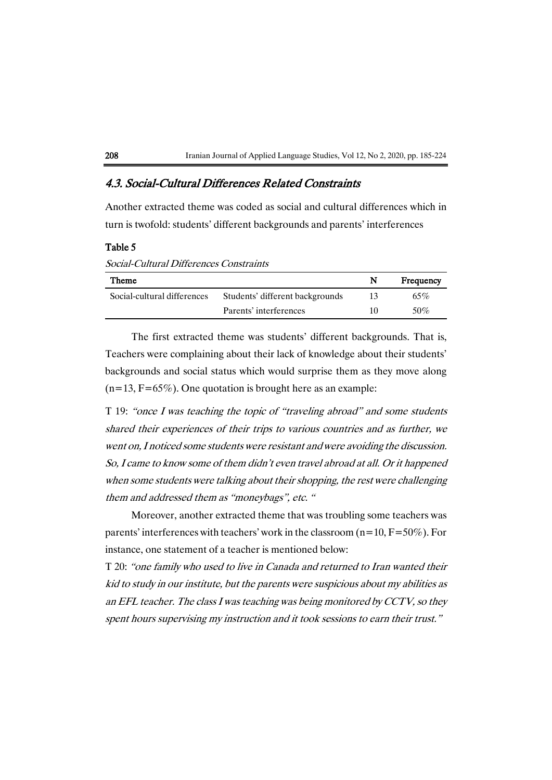# 4.3. Social-Cultural Differences Related Constraints

Another extracted theme was coded as social and cultural differences which in turn is twofold: students' different backgrounds and parents' interferences

#### Table 5

Social-Cultural Differences Constraints

| Theme                       |                        | N   | Frequency |
|-----------------------------|------------------------|-----|-----------|
| Social-cultural differences |                        | 65% |           |
|                             | Parents' interferences | 10  | 50%       |

The first extracted theme was students' different backgrounds. That is, Teachers were complaining about their lack of knowledge about their students' backgrounds and social status which would surprise them as they move along  $(n=13, F=65\%)$ . One quotation is brought here as an example:

T 19: "once I was teaching the topic of "traveling abroad" and some students shared their experiences of their trips to various countries and as further, we went on, I noticed some students were resistant and were avoiding the discussion. So, I came to know some of them didn't even travel abroad at all. Or it happened when some students were talking about their shopping, the rest were challenging them and addressed them as "moneybags", etc. "

Moreover, another extracted theme that was troubling some teachers was parents' interferences with teachers' work in the classroom  $(n=10, F=50\%)$ . For instance, one statement of a teacher is mentioned below:

T 20: "one family who used to live in Canada and returned to Iran wanted their kid to study in our institute, but the parents were suspicious about my abilities as an EFL teacher. The class I was teaching was being monitored by CCTV, so they spent hours supervising my instruction and it took sessions to earn their trust."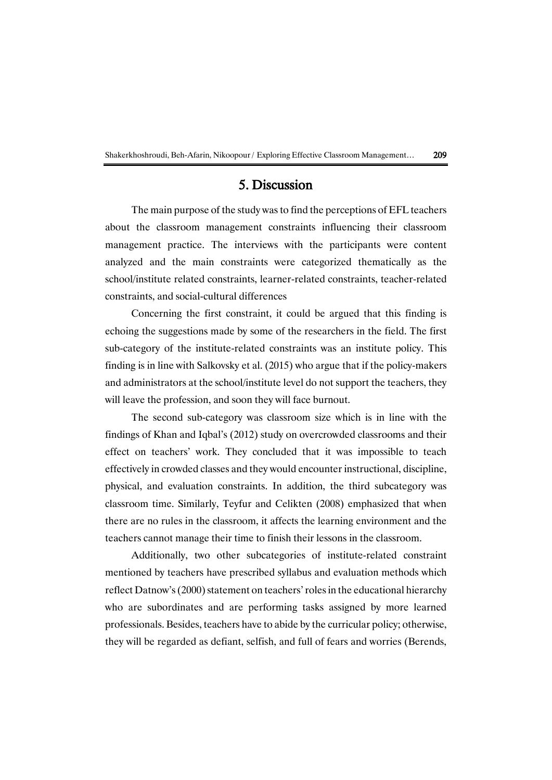# 5. Discussion

The main purpose of the study was to find the perceptions of EFL teachers about the classroom management constraints influencing their classroom management practice. The interviews with the participants were content analyzed and the main constraints were categorized thematically as the school/institute related constraints, learner-related constraints, teacher-related constraints, and social-cultural differences

Concerning the first constraint, it could be argued that this finding is echoing the suggestions made by some of the researchers in the field. The first sub-category of the institute-related constraints was an institute policy. This finding is in line with Salkovsky et al. (2015) who argue that if the policy-makers and administrators at the school/institute level do not support the teachers, they will leave the profession, and soon they will face burnout.

The second sub-category was classroom size which is in line with the findings of Khan and Iqbal's (2012) study on overcrowded classrooms and their effect on teachers' work. They concluded that it was impossible to teach effectively in crowded classes and they would encounter instructional, discipline, physical, and evaluation constraints. In addition, the third subcategory was classroom time. Similarly, Teyfur and Celikten (2008) emphasized that when there are no rules in the classroom, it affects the learning environment and the teachers cannot manage their time to finish their lessons in the classroom.

Additionally, two other subcategories of institute-related constraint mentioned by teachers have prescribed syllabus and evaluation methods which reflect Datnow's (2000) statement on teachers'roles in the educational hierarchy who are subordinates and are performing tasks assigned by more learned professionals. Besides, teachers have to abide by the curricular policy; otherwise, they will be regarded as defiant, selfish, and full of fears and worries (Berends,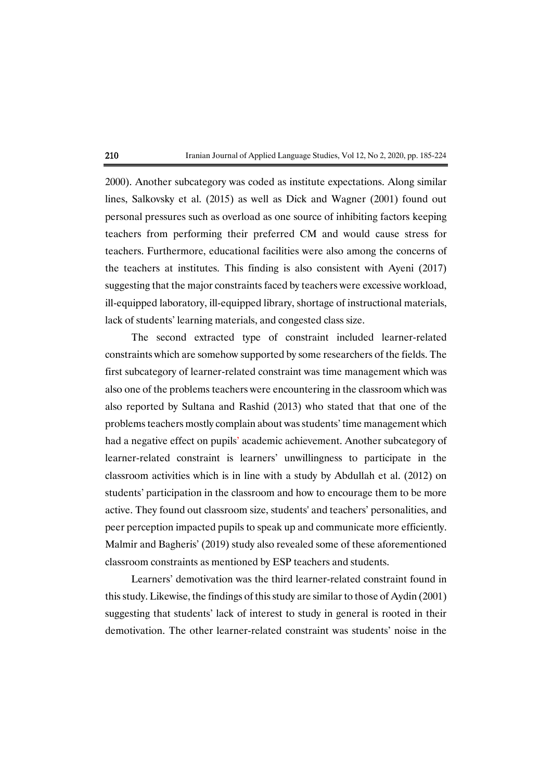

2000). Another subcategory was coded as institute expectations. Along similar lines, Salkovsky et al. (2015) as well as Dick and Wagner (2001) found out personal pressures such as overload as one source of inhibiting factors keeping teachers from performing their preferred CM and would cause stress for teachers. Furthermore, educational facilities were also among the concerns of the teachers at institutes. This finding is also consistent with Ayeni (2017) suggesting that the major constraints faced by teachers were excessive workload, ill-equipped laboratory, ill-equipped library, shortage of instructional materials, lack of students' learning materials, and congested class size.

The second extracted type of constraint included learner-related constraints which are somehow supported by some researchers of the fields. The first subcategory of learner-related constraint was time management which was also one of the problems teachers were encountering in the classroom which was also reported by Sultana and Rashid (2013) who stated that that one of the problems teachers mostly complain about was students' time management which had a negative effect on pupils' academic achievement. Another subcategory of learner-related constraint is learners' unwillingness to participate in the classroom activities which is in line with a study by Abdullah et al. (2012) on students' participation in the classroom and how to encourage them to be more active. They found out classroom size, students' and teachers' personalities, and peer perception impacted pupils to speak up and communicate more efficiently. Malmir and Bagheris' (2019) study also revealed some of these aforementioned classroom constraints as mentioned by ESP teachers and students.

Learners' demotivation was the third learner-related constraint found in this study. Likewise, the findings of this study are similar to those of Aydin (2001) suggesting that students' lack of interest to study in general is rooted in their demotivation. The other learner-related constraint was students' noise in the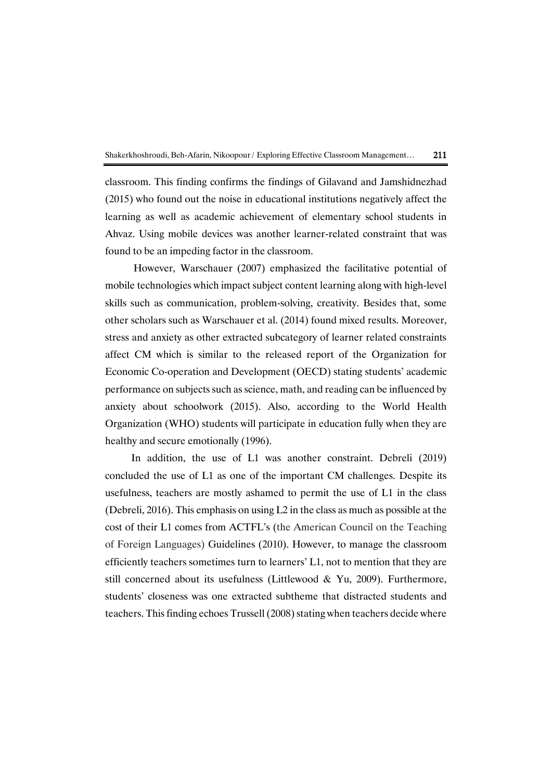

classroom. This finding confirms the findings of Gilavand and Jamshidnezhad (2015) who found out the noise in educational institutions negatively affect the learning as well as academic achievement of elementary school students in Ahvaz. Using mobile devices was another learner-related constraint that was found to be an impeding factor in the classroom.

However, Warschauer (2007) emphasized the facilitative potential of mobile technologies which impact subject content learning along with high-level skills such as communication, problem-solving, creativity. Besides that, some other scholars such as [Warschauer](https://www.sciencedirect.com/science/article/pii/S0360131515300804#bib93) et al. (2014) found mixed results. Moreover, stress and anxiety as other extracted subcategory of learner related constraints affect CM which is similar to the released report of the Organization for Economic Co-operation and Development (OECD) stating students' academic performance on subjects such as science, math, and reading can be influenced by anxiety about schoolwork (2015). Also, according to the World Health Organization (WHO) students will participate in education fully when they are healthy and secure emotionally (1996).

In addition, the use of L1 was another constraint. Debreli (2019) concluded the use of L1 as one of the important CM challenges. Despite its usefulness, teachers are mostly ashamed to permit the use of L1 in the class (Debreli, 2016). This emphasis on using L2 in the class as much as possible at the cost of their L1 comes from ACTFL's (the American Council on the Teaching of Foreign Languages) Guidelines (2010). However, to manage the classroom efficiently teachers sometimes turn to learners' L1, not to mention that they are still concerned about its usefulness (Littlewood & Yu, 2009). Furthermore, students' closeness was one extracted subtheme that distracted students and teachers. This finding echoes Trussell(2008) stating when teachers decide where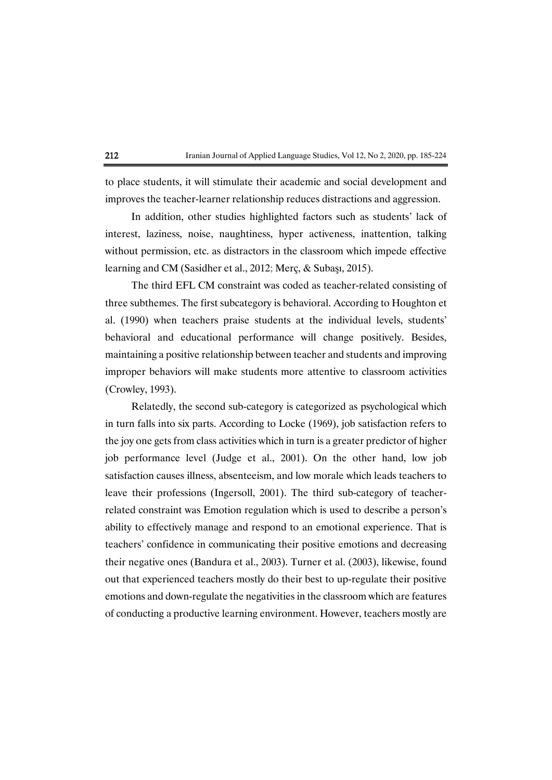to place students, it will stimulate their academic and social development and improves the teacher-learner relationship reduces distractions and aggression.

In addition, other studies highlighted factors such as students' lack of interest, laziness, noise, naughtiness, hyper activeness, inattention, talking without permission, etc. as distractors in the classroom which impede effective learning and CM (Sasidher et al., 2012; Merç, & Subaşı, 2015).

The third EFL CM constraint was coded as teacher-related consisting of three subthemes. The first subcategory is behavioral. According to Houghton et al. (1990) when teachers praise students at the individual levels, students' behavioral and educational performance will change positively. Besides, maintaining a positive relationship between teacher and students and improving improper behaviors will make students more attentive to classroom activities (Crowley, 1993).

Relatedly, the second sub-category is categorized as psychological which in turn falls into six parts. According to Locke (1969), job satisfaction refers to the joy one gets from class activities which in turn is a greater predictor of higher job performance level (Judge et al., 2001). On the other hand, low job satisfaction causes illness, absenteeism, and low morale which leads teachers to leave their professions [\(Ingersoll, 2001\)](https://www.sciencedirect.com/science/article/pii/S1041608016301455?via=sd#bb0115). The third sub-category of teacherrelated constraint was Emotion regulation which is used to describe a person's ability to effectively manage and respond to an emotional experience. That is teachers' confidence in communicating their positive emotions and decreasing their negative ones (Bandura et al., 2003). Turner et al. (2003), likewise, found out that experienced teachers mostly do their best to up-regulate their positive emotions and down-regulate the negativities in the classroom which are features of conducting a productive learning environment. However, teachers mostly are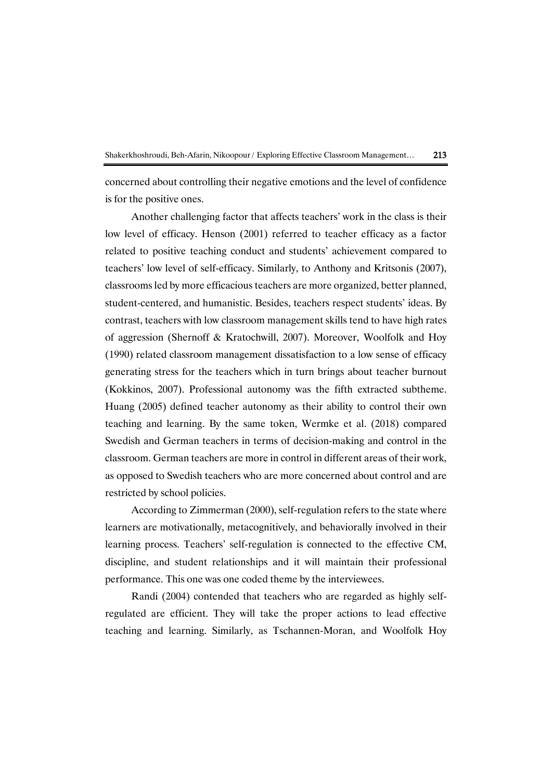concerned about controlling their negative emotions and the level of confidence is for the positive ones.

Another challenging factor that affects teachers' work in the class is their low level of efficacy. Henson (2001) referred to teacher efficacy as a factor related to positive teaching conduct and students' achievement compared to teachers' low level of self-efficacy. Similarly, to Anthony and Kritsonis (2007), classrooms led by more efficacious teachers are more organized, better planned, student-centered, and humanistic. Besides, teachers respect students' ideas. By contrast, teachers with low classroom management skills tend to have high rates of aggression (Shernoff & Kratochwill, 2007). Moreover, Woolfolk and Hoy (1990) related classroom management dissatisfaction to a low sense of efficacy generating stress for the teachers which in turn brings about teacher burnout (Kokkinos, 2007). Professional autonomy was the fifth extracted subtheme. Huang (2005) defined teacher autonomy as their ability to control their own teaching and learning. By the same token, Wermke et al. (2018) compared Swedish and German teachers in terms of decision-making and control in the classroom. German teachers are more in control in different areas of their work, as opposed to Swedish teachers who are more concerned about control and are restricted by school policies.

According to Zimmerman (2000), self-regulation refers to the state where learners are motivationally, metacognitively, and behaviorally involved in their learning process. Teachers' self-regulation is connected to the effective CM, discipline, and student relationships and it will maintain their professional performance. This one was one coded theme by the interviewees.

Randi (2004) contended that teachers who are regarded as highly selfregulated are efficient. They will take the proper actions to lead effective teaching and learning. Similarly, as Tschannen-Moran, and Woolfolk Hoy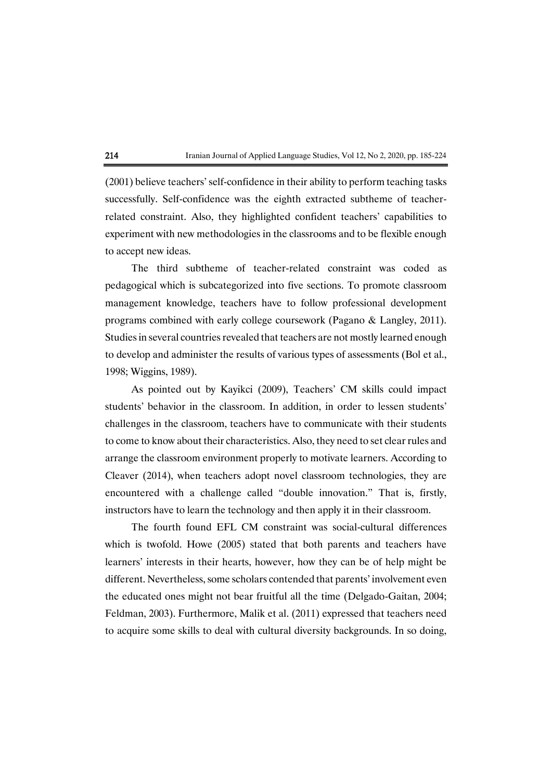(2001) believe teachers' self-confidence in their ability to perform teaching tasks successfully. Self-confidence was the eighth extracted subtheme of teacherrelated constraint. Also, they highlighted confident teachers' capabilities to experiment with new methodologies in the classrooms and to be flexible enough to accept new ideas.

The third subtheme of teacher-related constraint was coded as pedagogical which is subcategorized into five sections. To promote classroom management knowledge, teachers have to follow professional development programs combined with early college coursework (Pagano & Langley, 2011). Studies in several countries revealed that teachers are not mostly learned enough to develop and administer the results of various types of assessments (Bol et al., 1998; Wiggins, 1989).

As pointed out by Kayikci (2009), Teachers' CM skills could impact students' behavior in the classroom. In addition, in order to lessen students' challenges in the classroom, teachers have to communicate with their students to come to know about their characteristics. Also, they need to set clear rules and arrange the classroom environment properly to motivate learners. According to Cleaver (2014), when teachers adopt novel classroom technologies, they are encountered with a challenge called "double innovation." That is, firstly, instructors have to learn the technology and then apply it in their classroom.

The fourth found EFL CM constraint was social-cultural differences which is twofold. Howe (2005) stated that both parents and teachers have learners' interests in their hearts, however, how they can be of help might be different. Nevertheless, some scholars contended that parents' involvement even the educated ones might not bear fruitful all the time (Delgado-Gaitan, 2004; Feldman, 2003). Furthermore, Malik et al. (2011) expressed that teachers need to acquire some skills to deal with cultural diversity backgrounds. In so doing,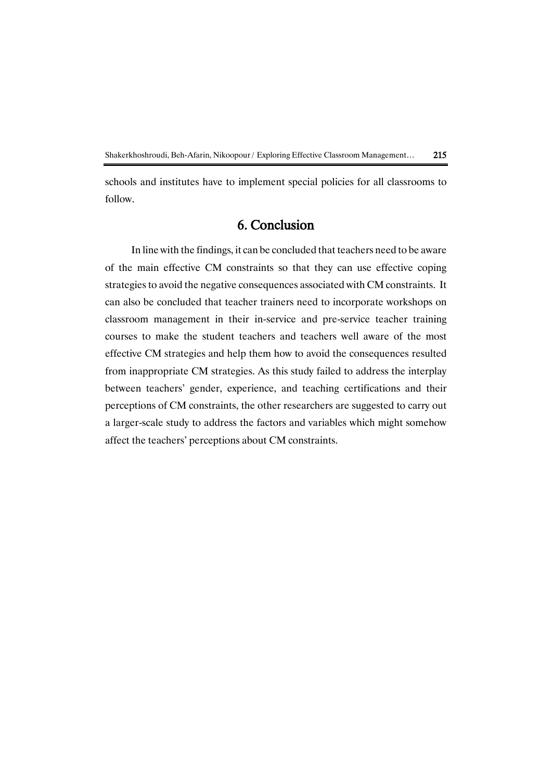schools and institutes have to implement special policies for all classrooms to follow.

# 6. Conclusion

In line with the findings, it can be concluded that teachers need to be aware of the main effective CM constraints so that they can use effective coping strategies to avoid the negative consequences associated with CM constraints. It can also be concluded that teacher trainers need to incorporate workshops on classroom management in their in-service and pre-service teacher training courses to make the student teachers and teachers well aware of the most effective CM strategies and help them how to avoid the consequences resulted from inappropriate CM strategies. As this study failed to address the interplay between teachers' gender, experience, and teaching certifications and their perceptions of CM constraints, the other researchers are suggested to carry out a larger-scale study to address the factors and variables which might somehow affect the teachers' perceptions about CM constraints.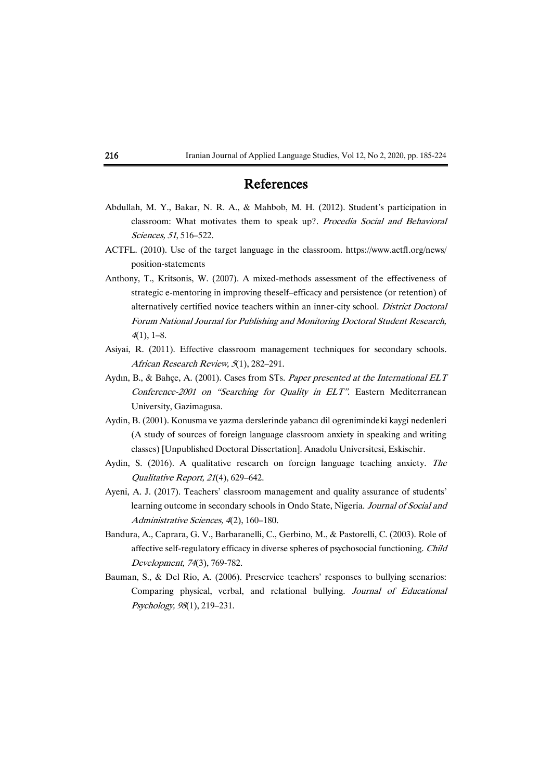# References

- Abdullah, M. Y., Bakar, N. R. A., & Mahbob, M. H. (2012). Student's participation in classroom: What motivates them to speak up?. Procedia Social and Behavioral Sciences, 51, 516–522.
- ACTFL. (2010). Use of the target language in the classroom. https://www.actfl.org/news/ position-statements
- Anthony, T., Kritsonis, W. (2007). A mixed-methods assessment of the effectiveness of strategic e-mentoring in improving theself–efficacy and persistence (or retention) of alternatively certified novice teachers within an inner-city school. District Doctoral Forum National Journal for Publishing and Monitoring Doctoral Student Research,  $4(1)$ , 1–8.
- Asiyai, R. (2011). Effective classroom management techniques for secondary schools. African Research Review, 5(1), 282–291.
- Aydın, B., & Bahçe, A. (2001). Cases from STs. Paper presented at the International ELT Conference-2001 on "Searching for Quality in ELT". Eastern Mediterranean University, Gazimagusa.
- Aydin, B. (2001). Konusma ve yazma derslerinde yabancı dil ogrenimindeki kaygi nedenleri (A study of sources of foreign language classroom anxiety in speaking and writing classes) [Unpublished Doctoral Dissertation]. Anadolu Universitesi, Eskisehir.
- Aydin, S. (2016). A qualitative research on foreign language teaching anxiety. The Qualitative Report, 21(4), 629–642.
- Ayeni, A. J. (2017). Teachers' classroom management and quality assurance of students' learning outcome in secondary schools in Ondo State, Nigeria. Journal of Social and Administrative Sciences, 4(2), 160–180.
- Bandura, A., Caprara, G. V., Barbaranelli, C., Gerbino, M., & Pastorelli, C. (2003). Role of affective self-regulatory efficacy in diverse spheres of psychosocial functioning. Child Development, 74(3), 769-782.
- Bauman, S., & Del Rio, A. (2006). Preservice teachers' responses to bullying scenarios: Comparing physical, verbal, and relational bullying. Journal of Educational Psychology, 98(1), 219–231.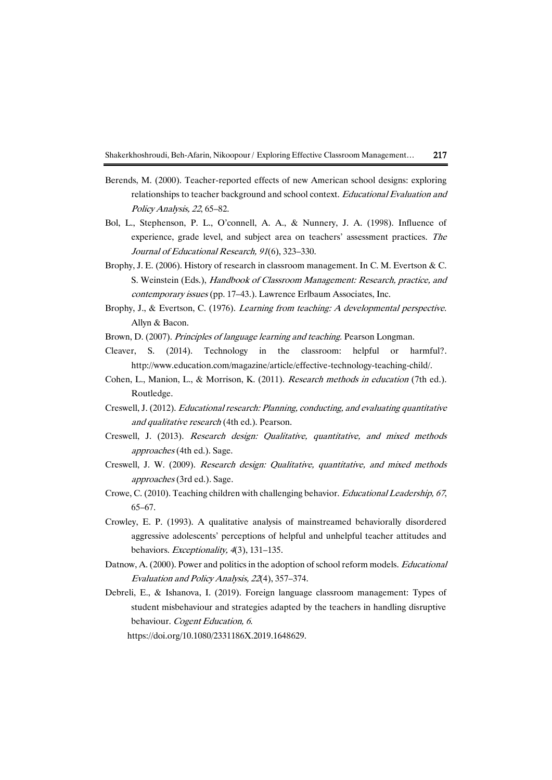- Berends, M. (2000). Teacher-reported effects of new American school designs: exploring relationships to teacher background and school context. Educational Evaluation and Policy Analysis, 22, 65–82.
- Bol, L., Stephenson, P. L., O'connell, A. A., & Nunnery, J. A. (1998). Influence of experience, grade level, and subject area on teachers' assessment practices. The Journal of Educational Research, 91(6), 323–330.
- Brophy, J. E. (2006). History of research in classroom management. In C. M. Evertson & C. S. Weinstein (Eds.), Handbook of Classroom Management: Research, practice, and contemporary issues (pp. 17–43.). Lawrence Erlbaum Associates, Inc.
- Brophy, J., & Evertson, C. (1976). *Learning from teaching: A developmental perspective.* Allyn & Bacon.
- Brown, D. (2007). Principles of language learning and teaching. Pearson Longman.
- Cleaver, S. (2014). Technology in the classroom: helpful or harmful?. http://www.education.com/magazine/article/effective-technology-teaching-child/.
- Cohen, L., Manion, L., & Morrison, K. (2011). Research methods in education (7th ed.). Routledge.
- Creswell, J. (2012). Educational research: Planning, conducting, and evaluating quantitative and qualitative research (4th ed.). Pearson.
- Creswell, J. (2013). Research design: Qualitative, quantitative, and mixed methods approaches (4th ed.). Sage.
- Creswell, J. W. (2009). Research design: Qualitative, quantitative, and mixed methods approaches (3rd ed.). Sage.
- Crowe, C. (2010). Teaching children with challenging behavior. Educational Leadership, 67, 65–67.
- Crowley, E. P. (1993). A qualitative analysis of mainstreamed behaviorally disordered aggressive adolescents' perceptions of helpful and unhelpful teacher attitudes and behaviors. Exceptionality, 4(3), 131–135.
- Datnow, A. (2000). Power and politics in the adoption of school reform models. *Educational* Evaluation and Policy Analysis, 22(4), 357–374.
- Debreli, E., & Ishanova, I. (2019). Foreign language classroom management: Types of student misbehaviour and strategies adapted by the teachers in handling disruptive behaviour. Cogent Education, 6. https://doi.org/10.1080/2331186X.2019.1648629.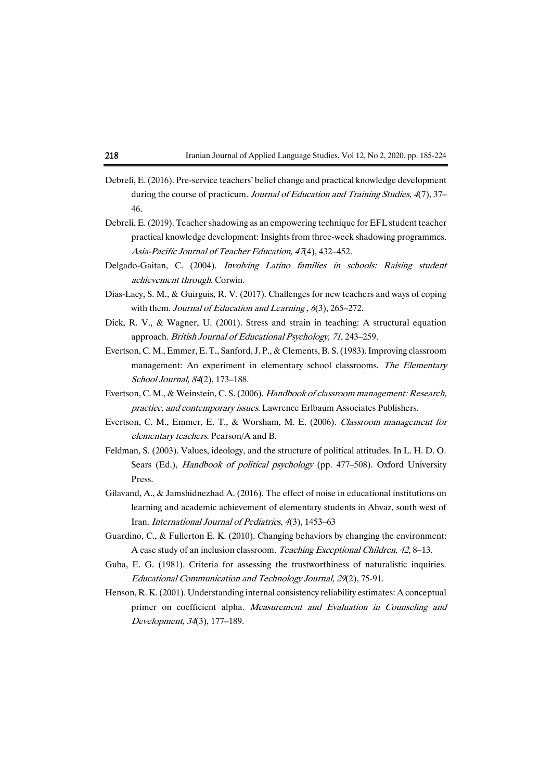| 218 |  |  |  |  |  | Iranian Journal of Applied Language Studies, Vol 12, No 2, 2020, pp. 185-224 |
|-----|--|--|--|--|--|------------------------------------------------------------------------------|
|-----|--|--|--|--|--|------------------------------------------------------------------------------|

- Debreli, E. (2016). Pre-service teachers' belief change and practical knowledge development during the course of practicum. Journal of Education and Training Studies, 4(7), 37– 46.
- Debreli, E. (2019). Teacher shadowing as an empowering technique for EFL student teacher practical knowledge development: Insights from three-week shadowing programmes. Asia-Pacific Journal of Teacher Education, 47(4), 432–452.
- Delgado-Gaitan, C. (2004). Involving Latino families in schools: Raising student achievement through. Corwin.
- Dias-Lacy, S. M., & Guirguis, R. V. (2017). Challenges for new teachers and ways of coping with them. Journal of Education and Learning, 6(3), 265–272.
- Dick, R. V., & Wagner, U. (2001). Stress and strain in teaching: A structural equation approach. British Journal of Educational Psychology, 71, 243–259.
- Evertson, C. M., Emmer, E. T., Sanford, J. P., & Clements, B. S. (1983). Improving classroom management: An experiment in elementary school classrooms. The Elementary School Journal, 84(2), 173–188.
- Evertson, C. M., & Weinstein, C. S. (2006). Handbook of classroom management: Research, practice, and contemporary issues. Lawrence Erlbaum Associates Publishers.
- Evertson, C. M., Emmer, E. T., & Worsham, M. E. (2006). Classroom management for elementary teachers. Pearson/A and B.
- Feldman, S. (2003). Values, ideology, and the structure of political attitudes. In L. H. D. O. Sears (Ed.), Handbook of political psychology (pp. 477–508). Oxford University Press.
- Gilavand, A., & Jamshidnezhad A. (2016). The effect of noise in educational institutions on learning and academic achievement of elementary students in Ahvaz, south west of Iran. International Journal of Pediatrics, 4(3), 1453–63
- Guardino, C., & Fullerton E. K. (2010). Changing behaviors by changing the environment: A case study of an inclusion classroom. Teaching Exceptional Children, 42, 8–13.
- Guba, E. G. (1981). Criteria for assessing the trustworthiness of naturalistic inquiries. Educational Communication and Technology Journal, 29(2), 75-91.
- Henson, R. K. (2001). Understanding internal consistency reliability estimates: A conceptual primer on coefficient alpha. Measurement and Evaluation in Counseling and Development, 34(3), 177–189.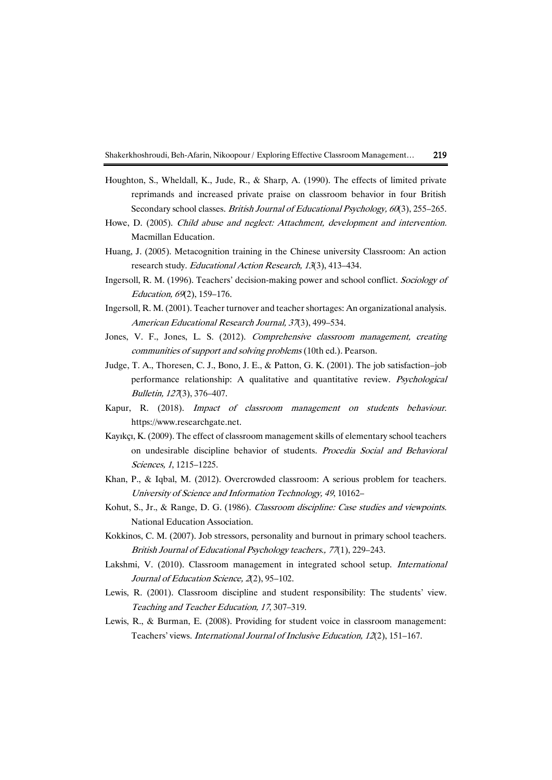- Houghton, S., Wheldall, K., Jude, R., & Sharp, A. (1990). The effects of limited private reprimands and increased private praise on classroom behavior in four British Secondary school classes. *British Journal of Educational Psychology*, 60(3), 255–265.
- Howe, D. (2005). Child abuse and neglect: Attachment, development and intervention. Macmillan Education.
- Huang, J. (2005). Metacognition training in the Chinese university Classroom: An action research study. Educational Action Research, 13(3), 413–434.
- Ingersoll, R. M. (1996). Teachers' decision-making power and school conflict. Sociology of Education, 69(2), 159–176.
- Ingersoll, R. M. (2001). Teacher turnover and teacher shortages: An organizational analysis. American Educational Research Journal, 37(3), 499–534.
- Jones, V. F., Jones, L. S. (2012). Comprehensive classroom management, creating communities of support and solving problems (10th ed.). Pearson.
- Judge, T. A., Thoresen, C. J., Bono, J. E., & Patton, G. K. (2001). The job satisfaction–job performance relationship: A qualitative and quantitative review. Psychological Bulletin, 127(3), 376–407.
- Kapur, R. (2018). Impact of classroom management on students behaviour. https://www.researchgate.net.
- Kayıkçı, K. (2009). The effect of classroom management skills of elementary school teachers on undesirable discipline behavior of students. Procedia Social and Behavioral Sciences, 1, 1215–1225.
- Khan, P., & Iqbal, M. (2012). Overcrowded classroom: A serious problem for teachers. University of Science and Information Technology, 49, 10162–
- Kohut, S., Jr., & Range, D. G. (1986). Classroom discipline: Case studies and viewpoints. National Education Association.
- Kokkinos, C. M. (2007). Job stressors, personality and burnout in primary school teachers. British Journal of Educational Psychology teachers., 77(1), 229–243.
- Lakshmi, V. (2010). Classroom management in integrated school setup. International Journal of Education Science, 2(2), 95–102.
- Lewis, R. (2001). Classroom discipline and student responsibility: The students' view. Teaching and Teacher Education, 17, 307–319.
- Lewis, R., & Burman, E. (2008). Providing for student voice in classroom management: Teachers' views. International Journal of Inclusive Education, 12(2), 151–167.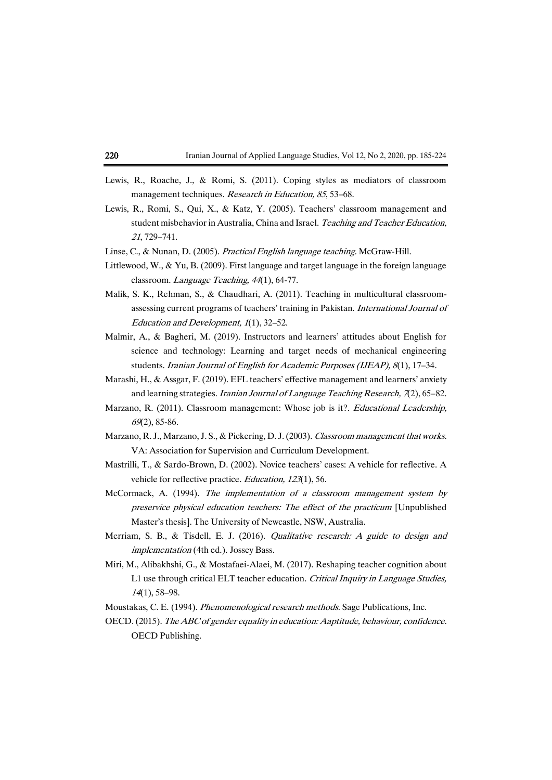- Lewis, R., Roache, J., & Romi, S. (2011). Coping styles as mediators of classroom management techniques. Research in Education, 85, 53-68.
- Lewis, R., Romi, S., Qui, X., & Katz, Y. (2005). Teachers' classroom management and student misbehavior in Australia, China and Israel. Teaching and Teacher Education, <sup>21</sup>, 729–741.
- Linse, C., & Nunan, D. (2005). Practical English language teaching. McGraw-Hill.
- Littlewood, W., & Yu, B. (2009). First language and target language in the foreign language classroom. Language Teaching, 44(1), 64-77.
- Malik, S. K., Rehman, S., & Chaudhari, A. (2011). Teaching in multicultural classroomassessing current programs of teachers' training in Pakistan. International Journal of Education and Development, 1(1), 32–52.
- Malmir, A., & Bagheri, M. (2019). Instructors and learners' attitudes about English for science and technology: Learning and target needs of mechanical engineering students. Iranian Journal of English for Academic Purposes (IJEAP), 8(1), 17-34.
- Marashi, H., & Assgar, F. (2019). EFL teachers' effective management and learners' anxiety and learning strategies. Iranian Journal of Language Teaching Research, 7(2), 65-82.
- Marzano, R. (2011). Classroom management: Whose job is it?. *Educational Leadership*, <sup>69</sup>(2), 85-86.
- Marzano, R. J., Marzano, J. S., & Pickering, D. J. (2003). Classroom management that works. VA: Association for Supervision and Curriculum Development.
- Mastrilli, T., & Sardo-Brown, D. (2002). Novice teachers' cases: A vehicle for reflective. A vehicle for reflective practice. Education, 123(1), 56.
- McCormack, A. (1994). The implementation of a classroom management system by preservice physical education teachers: The effect of the practicum [Unpublished Master's thesis]. The University of Newcastle, NSW, Australia.
- Merriam, S. B., & Tisdell, E. J. (2016). Qualitative research: A guide to design and implementation (4th ed.). Jossey Bass.
- Miri, M., Alibakhshi, G., & Mostafaei-Alaei, M. (2017). Reshaping teacher cognition about L1 use through critical ELT teacher education. Critical Inquiry in Language Studies, <sup>14</sup>(1), 58–98.
- Moustakas, C. E. (1994). Phenomenological research methods. Sage Publications, Inc.
- OECD. (2015). The ABC of gender equality in education: Aaptitude, behaviour, confidence. OECD Publishing.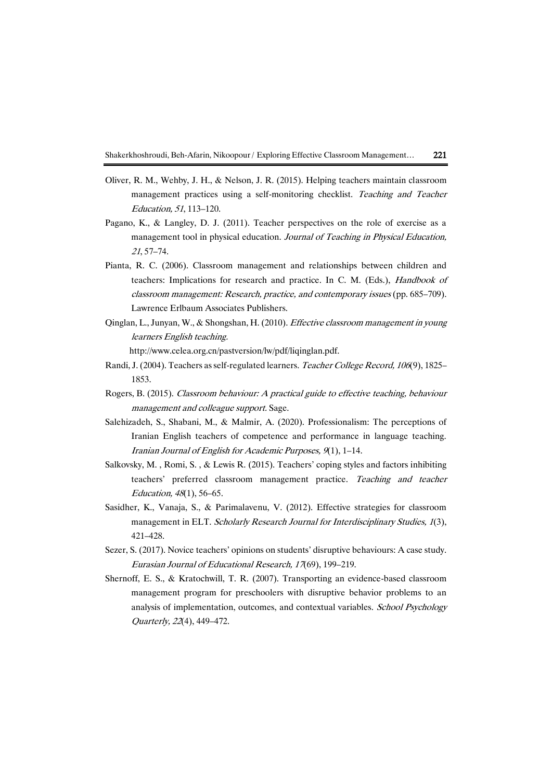- Oliver, R. M., Wehby, J. H., & Nelson, J. R. (2015). Helping teachers maintain classroom management practices using a self-monitoring checklist. Teaching and Teacher Education, 51, 113–120.
- Pagano, K., & Langley, D. J. (2011). Teacher perspectives on the role of exercise as a management tool in physical education. Journal of Teaching in Physical Education, <sup>21</sup>, 57–74.
- Pianta, R. C. (2006). Classroom management and relationships between children and teachers: Implications for research and practice. In C. M. (Eds.), Handbook of classroom management: Research, practice, and contemporary issues (pp. 685–709). Lawrence Erlbaum Associates Publishers.
- Qinglan, L., Junyan, W., & Shongshan, H. (2010). Effective classroom management in young learners English teaching.

http://www.celea.org.cn/pastversion/lw/pdf/liqinglan.pdf.

- Randi, J. (2004). Teachers as self-regulated learners. Teacher College Record, 106(9), 1825– 1853.
- Rogers, B. (2015). Classroom behaviour: A practical guide to effective teaching, behaviour management and colleague support. Sage.
- Salehizadeh, S., Shabani, M., & Malmir, A. (2020). Professionalism: The perceptions of Iranian English teachers of competence and performance in language teaching. Iranian Journal of English for Academic Purposes, 9(1), 1–14.
- Salkovsky, M. , Romi, S. , & Lewis R. (2015). Teachers' coping styles and factors inhibiting teachers' preferred classroom management practice. Teaching and teacher Education, 48(1), 56–65.
- Sasidher, K., Vanaja, S., & Parimalavenu, V. (2012). Effective strategies for classroom management in ELT. Scholarly Research Journal for Interdisciplinary Studies, 1(3), 421–428.
- Sezer, S. (2017). Novice teachers' opinions on students' disruptive behaviours: A case study. Eurasian Journal of Educational Research, 17(69), 199–219.
- Shernoff, E. S., & Kratochwill, T. R. (2007). Transporting an evidence-based classroom management program for preschoolers with disruptive behavior problems to an analysis of implementation, outcomes, and contextual variables. School Psychology Quarterly, 22(4), 449–472.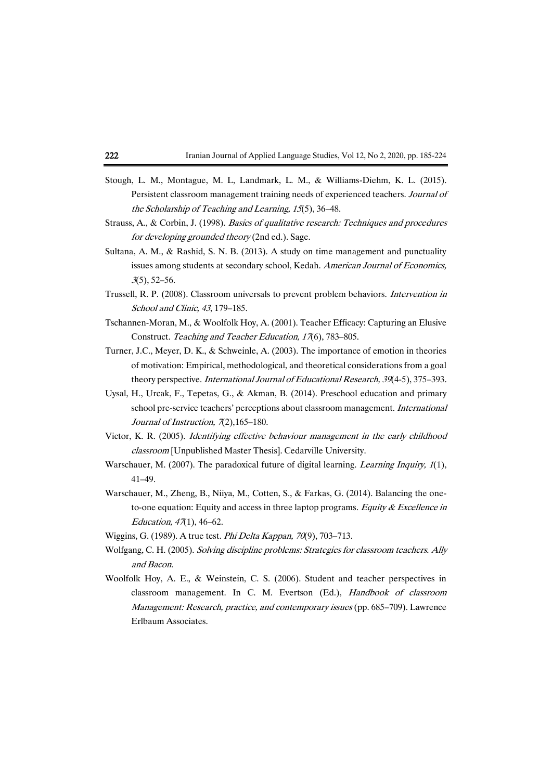- Stough, L. M., Montague, M. L, Landmark, L. M., & Williams-Diehm, K. L. (2015). Persistent classroom management training needs of experienced teachers. Journal of the Scholarship of Teaching and Learning, 15(5), 36–48.
- Strauss, A., & Corbin, J. (1998). Basics of qualitative research: Techniques and procedures for developing grounded theory (2nd ed.). Sage.
- Sultana, A. M., & Rashid, S. N. B. (2013). A study on time management and punctuality issues among students at secondary school, Kedah. American Journal of Economics, <sup>3</sup>(5), 52–56.
- Trussell, R. P. (2008). Classroom universals to prevent problem behaviors. Intervention in School and Clinic, 43, 179–185.
- Tschannen-Moran, M., & Woolfolk Hoy, A. (2001). Teacher Efficacy: Capturing an Elusive Construct. Teaching and Teacher Education, 17(6), 783–805.
- Turner, J.C., Meyer, D. K., & Schweinle, A. (2003). The importance of emotion in theories of motivation: Empirical, methodological, and theoretical considerations from a goal theory perspective. International Journal of Educational Research, 39(4-5), 375–393.
- Uysal, H., Urcak, F., Tepetas, G., & Akman, B. (2014). Preschool education and primary school pre-service teachers' perceptions about classroom management. International Journal of Instruction, 7(2), 165-180.
- Victor, K. R. (2005). Identifying effective behaviour management in the early childhood classroom [Unpublished Master Thesis]. Cedarville University.
- Warschauer, M. (2007). The paradoxical future of digital learning. Learning Inquiry, 1(1), 41–49.
- Warschauer, M., Zheng, B., Niiya, M., Cotten, S., & Farkas, G. (2014). Balancing the oneto-one equation: Equity and access in three laptop programs. Equity  $\&$  Excellence in Education, 47(1), 46–62.
- Wiggins, G. (1989). A true test. Phi Delta Kappan, 70(9), 703–713.
- Wolfgang, C. H. (2005). Solving discipline problems: Strategies for classroom teachers. Ally and Bacon.
- Woolfolk Hoy, A. E., & Weinstein, C. S. (2006). Student and teacher perspectives in classroom management. In C. M. Evertson (Ed.), Handbook of classroom Management: Research, practice, and contemporary issues (pp. 685–709). Lawrence Erlbaum Associates.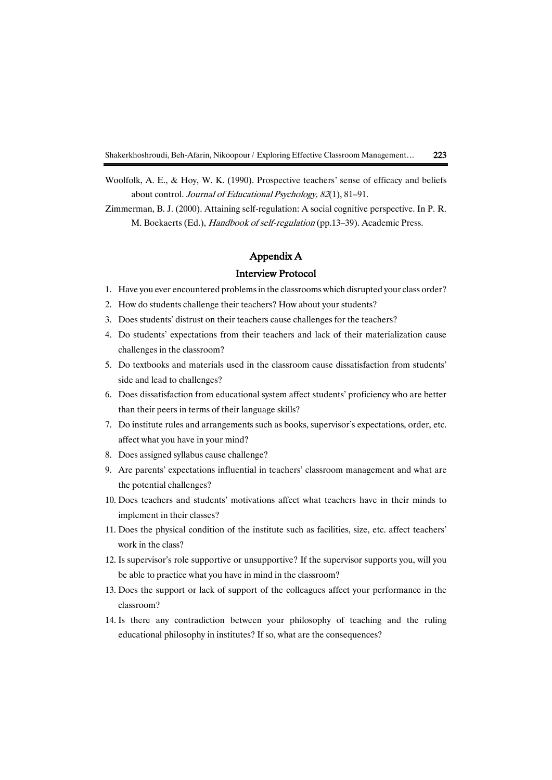Woolfolk, A. E., & Hoy, W. K. (1990). Prospective teachers' sense of efficacy and beliefs about control. Journal of Educational Psychology, 82(1), 81–91.

Zimmerman, B. J. (2000). Attaining self-regulation: A social cognitive perspective. In P. R. M. Boekaerts (Ed.), Handbook of self-regulation (pp.13–39). Academic Press.

## Appendix A

### Interview Protocol

- 1. Have you ever encountered problemsin the classrooms which disrupted your class order?
- 2. How do students challenge their teachers? How about your students?
- 3. Does students' distrust on their teachers cause challenges for the teachers?
- 4. Do students' expectations from their teachers and lack of their materialization cause challenges in the classroom?
- 5. Do textbooks and materials used in the classroom cause dissatisfaction from students' side and lead to challenges?
- 6. Does dissatisfaction from educational system affect students' proficiency who are better than their peers in terms of their language skills?
- 7. Do institute rules and arrangements such as books, supervisor's expectations, order, etc. affect what you have in your mind?
- 8. Does assigned syllabus cause challenge?
- 9. Are parents' expectations influential in teachers' classroom management and what are the potential challenges?
- 10. Does teachers and students' motivations affect what teachers have in their minds to implement in their classes?
- 11. Does the physical condition of the institute such as facilities, size, etc. affect teachers' work in the class?
- 12. Is supervisor's role supportive or unsupportive? If the supervisor supports you, will you be able to practice what you have in mind in the classroom?
- 13. Does the support or lack of support of the colleagues affect your performance in the classroom?
- 14. Is there any contradiction between your philosophy of teaching and the ruling educational philosophy in institutes? If so, what are the consequences?